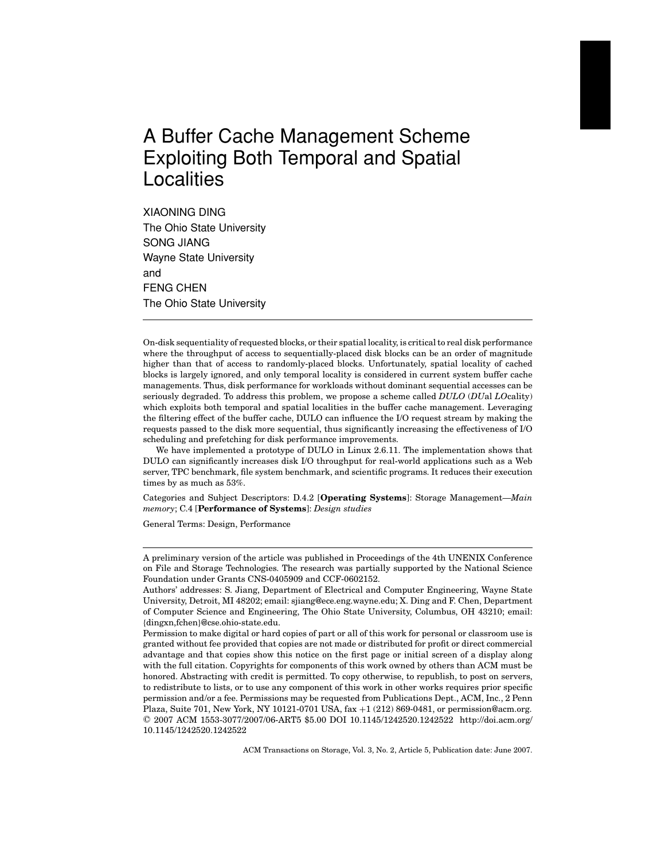# A Buffer Cache Management Scheme Exploiting Both Temporal and Spatial Localities

XIAONING DING The Ohio State University SONG JIANG Wayne State University and FENG CHEN The Ohio State University

On-disk sequentiality of requested blocks, or their spatial locality, is critical to real disk performance where the throughput of access to sequentially-placed disk blocks can be an order of magnitude higher than that of access to randomly-placed blocks. Unfortunately, spatial locality of cached blocks is largely ignored, and only temporal locality is considered in current system buffer cache managements. Thus, disk performance for workloads without dominant sequential accesses can be seriously degraded. To address this problem, we propose a scheme called *DULO* (*DU*al *LO*cality) which exploits both temporal and spatial localities in the buffer cache management. Leveraging the filtering effect of the buffer cache, DULO can influence the I/O request stream by making the requests passed to the disk more sequential, thus significantly increasing the effectiveness of I/O scheduling and prefetching for disk performance improvements.

We have implemented a prototype of DULO in Linux 2.6.11. The implementation shows that DULO can significantly increases disk I/O throughput for real-world applications such as a Web server, TPC benchmark, file system benchmark, and scientific programs. It reduces their execution times by as much as 53%.

Categories and Subject Descriptors: D.4.2 [**Operating Systems**]: Storage Management—*Main memory*; C.4 [**Performance of Systems**]: *Design studies*

General Terms: Design, Performance

A preliminary version of the article was published in Proceedings of the 4th UNENIX Conference on File and Storage Technologies. The research was partially supported by the National Science Foundation under Grants CNS-0405909 and CCF-0602152.

Authors' addresses: S. Jiang, Department of Electrical and Computer Engineering, Wayne State University, Detroit, MI 48202; email: sjiang@ece.eng.wayne.edu; X. Ding and F. Chen, Department of Computer Science and Engineering, The Ohio State University, Columbus, OH 43210; email: {dingxn,fchen}@cse.ohio-state.edu.

Permission to make digital or hard copies of part or all of this work for personal or classroom use is granted without fee provided that copies are not made or distributed for profit or direct commercial advantage and that copies show this notice on the first page or initial screen of a display along with the full citation. Copyrights for components of this work owned by others than ACM must be honored. Abstracting with credit is permitted. To copy otherwise, to republish, to post on servers, to redistribute to lists, or to use any component of this work in other works requires prior specific permission and/or a fee. Permissions may be requested from Publications Dept., ACM, Inc., 2 Penn Plaza, Suite 701, New York, NY 10121-0701 USA, fax +1 (212) 869-0481, or permission@acm.org. © 2007 ACM 1553-3077/2007/06-ART5 \$5.00 DOI 10.1145/1242520.1242522 http://doi.acm.org/ 10.1145/1242520.1242522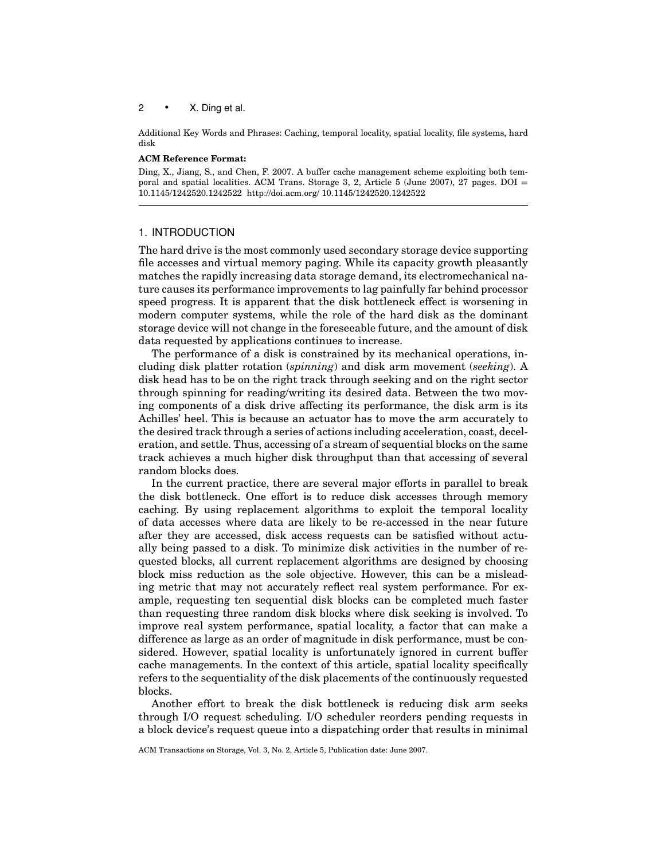Additional Key Words and Phrases: Caching, temporal locality, spatial locality, file systems, hard disk

## **ACM Reference Format:**

Ding, X., Jiang, S., and Chen, F. 2007. A buffer cache management scheme exploiting both temporal and spatial localities. ACM Trans. Storage 3, 2, Article 5 (June 2007), 27 pages.  $DOI =$ 10.1145/1242520.1242522 http://doi.acm.org/ 10.1145/1242520.1242522

# 1. INTRODUCTION

The hard drive is the most commonly used secondary storage device supporting file accesses and virtual memory paging. While its capacity growth pleasantly matches the rapidly increasing data storage demand, its electromechanical nature causes its performance improvements to lag painfully far behind processor speed progress. It is apparent that the disk bottleneck effect is worsening in modern computer systems, while the role of the hard disk as the dominant storage device will not change in the foreseeable future, and the amount of disk data requested by applications continues to increase.

The performance of a disk is constrained by its mechanical operations, including disk platter rotation (*spinning*) and disk arm movement (*seeking*). A disk head has to be on the right track through seeking and on the right sector through spinning for reading/writing its desired data. Between the two moving components of a disk drive affecting its performance, the disk arm is its Achilles' heel. This is because an actuator has to move the arm accurately to the desired track through a series of actions including acceleration, coast, deceleration, and settle. Thus, accessing of a stream of sequential blocks on the same track achieves a much higher disk throughput than that accessing of several random blocks does.

In the current practice, there are several major efforts in parallel to break the disk bottleneck. One effort is to reduce disk accesses through memory caching. By using replacement algorithms to exploit the temporal locality of data accesses where data are likely to be re-accessed in the near future after they are accessed, disk access requests can be satisfied without actually being passed to a disk. To minimize disk activities in the number of requested blocks, all current replacement algorithms are designed by choosing block miss reduction as the sole objective. However, this can be a misleading metric that may not accurately reflect real system performance. For example, requesting ten sequential disk blocks can be completed much faster than requesting three random disk blocks where disk seeking is involved. To improve real system performance, spatial locality, a factor that can make a difference as large as an order of magnitude in disk performance, must be considered. However, spatial locality is unfortunately ignored in current buffer cache managements. In the context of this article, spatial locality specifically refers to the sequentiality of the disk placements of the continuously requested blocks.

Another effort to break the disk bottleneck is reducing disk arm seeks through I/O request scheduling. I/O scheduler reorders pending requests in a block device's request queue into a dispatching order that results in minimal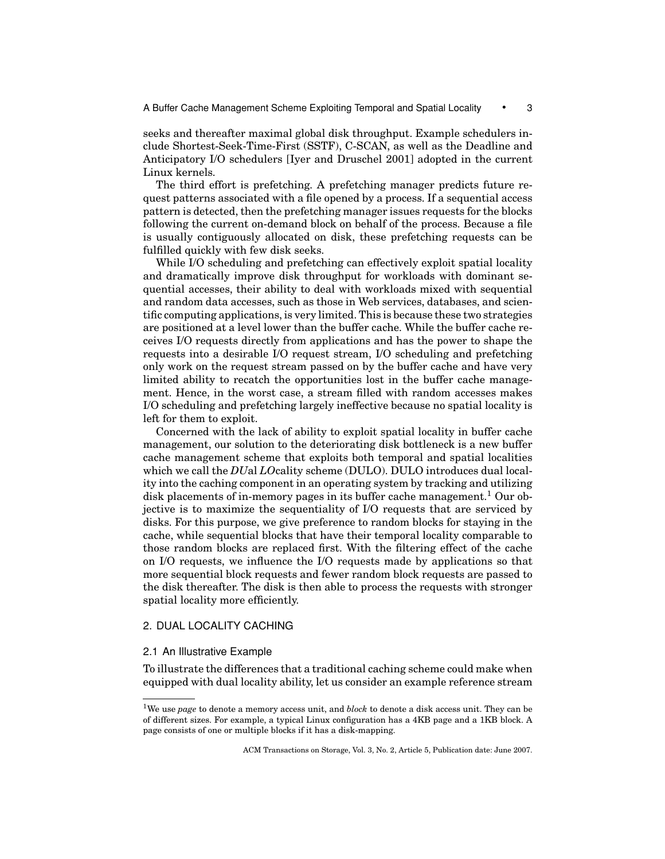seeks and thereafter maximal global disk throughput. Example schedulers include Shortest-Seek-Time-First (SSTF), C-SCAN, as well as the Deadline and Anticipatory I/O schedulers [Iyer and Druschel 2001] adopted in the current Linux kernels.

The third effort is prefetching. A prefetching manager predicts future request patterns associated with a file opened by a process. If a sequential access pattern is detected, then the prefetching manager issues requests for the blocks following the current on-demand block on behalf of the process. Because a file is usually contiguously allocated on disk, these prefetching requests can be fulfilled quickly with few disk seeks.

While I/O scheduling and prefetching can effectively exploit spatial locality and dramatically improve disk throughput for workloads with dominant sequential accesses, their ability to deal with workloads mixed with sequential and random data accesses, such as those in Web services, databases, and scientific computing applications, is very limited. This is because these two strategies are positioned at a level lower than the buffer cache. While the buffer cache receives I/O requests directly from applications and has the power to shape the requests into a desirable I/O request stream, I/O scheduling and prefetching only work on the request stream passed on by the buffer cache and have very limited ability to recatch the opportunities lost in the buffer cache management. Hence, in the worst case, a stream filled with random accesses makes I/O scheduling and prefetching largely ineffective because no spatial locality is left for them to exploit.

Concerned with the lack of ability to exploit spatial locality in buffer cache management, our solution to the deteriorating disk bottleneck is a new buffer cache management scheme that exploits both temporal and spatial localities which we call the *DU*al *LO*cality scheme (DULO). DULO introduces dual locality into the caching component in an operating system by tracking and utilizing disk placements of in-memory pages in its buffer cache management.<sup>1</sup> Our objective is to maximize the sequentiality of I/O requests that are serviced by disks. For this purpose, we give preference to random blocks for staying in the cache, while sequential blocks that have their temporal locality comparable to those random blocks are replaced first. With the filtering effect of the cache on I/O requests, we influence the I/O requests made by applications so that more sequential block requests and fewer random block requests are passed to the disk thereafter. The disk is then able to process the requests with stronger spatial locality more efficiently.

# 2. DUAL LOCALITY CACHING

#### 2.1 An Illustrative Example

To illustrate the differences that a traditional caching scheme could make when equipped with dual locality ability, let us consider an example reference stream

<sup>1</sup>We use *page* to denote a memory access unit, and *block* to denote a disk access unit. They can be of different sizes. For example, a typical Linux configuration has a 4KB page and a 1KB block. A page consists of one or multiple blocks if it has a disk-mapping.

ACM Transactions on Storage, Vol. 3, No. 2, Article 5, Publication date: June 2007.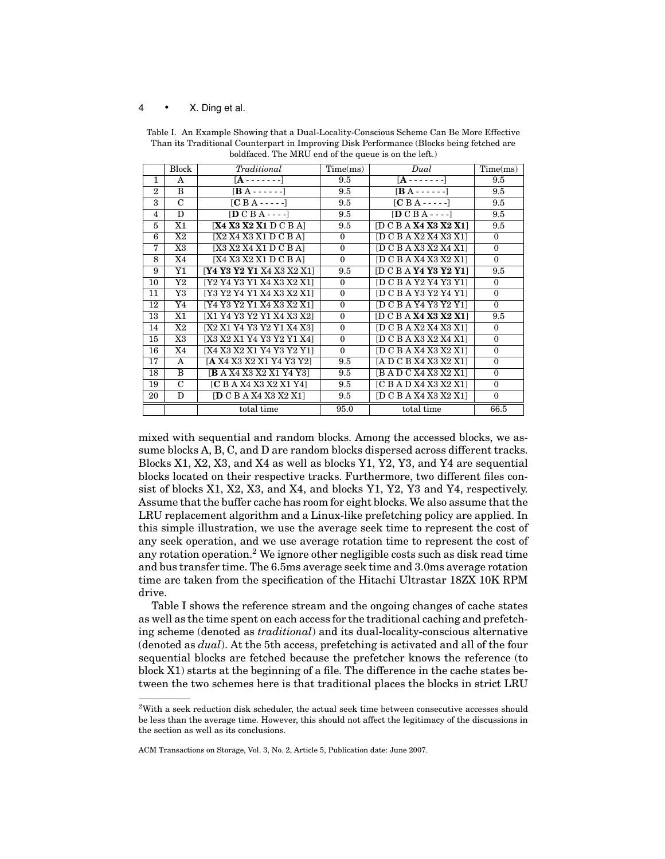|                | <b>Block</b>           | Traditional                      | Time(ms)     | Dual                         | Time(ms)     |
|----------------|------------------------|----------------------------------|--------------|------------------------------|--------------|
| 1              | A                      | $[A - - - - -]$                  | 9.5          | $[A - - - - -]$              | 9.5          |
| $\overline{2}$ | B                      | $[\mathbf{BA}$ ------            | 9.5          |                              | 9.5          |
| 3              | $\overline{C}$         | $[CBA---]$                       | 9.5          | $[CBA---]$                   | 9.5          |
| $\overline{4}$ | D                      | $[D \overline{CBA---}]$          | 9.5          | $[D C B A - - -]$            | 9.5          |
| 5              | X1                     | [X4 X3 X2 X1 D C B A]            | 9.5          | [D C B A X4 X3 X2 X1]        | 9.5          |
| 6              | X2                     | [X2 X4 X3 X1 D C B A]            | $\mathbf{0}$ | <b>ID C B A X2 X4 X3 X1]</b> | $\mathbf{0}$ |
| 7              | X3                     | [X3 X2 X4 X1 D C B A]            | $\mathbf{0}$ | <b>ID C B A X3 X2 X4 X1]</b> | $\mathbf{0}$ |
| 8              | X4                     | [X4 X3 X2 X1 D C B A]            | $\mathbf{0}$ | <b>ID C B A X4 X3 X2 X11</b> | $\mathbf{0}$ |
| 9              | Y1                     | [Y4 Y3 Y2 Y1 X4 X3 X2 X1]        | 9.5          | [D C B A Y4 Y3 Y2 Y1]        | 9.5          |
| 10             | $\overline{\text{Y2}}$ | [Y2 Y4 Y3 Y1 X4 X3 X2 X1]        | $\mathbf{0}$ | [D C B A Y2 Y4 Y3 Y1]        | $\mathbf{0}$ |
| 11             | $\overline{\text{Y3}}$ | [Y3 Y2 Y4 Y1 X4 X3 X2 X1]        | $\mathbf{0}$ | [D C B A Y3 Y2 Y4 Y1]        | $\mathbf{0}$ |
| $12\,$         | Y4                     | [Y4 Y3 Y2 Y1 X4 X3 X2 X1]        | $\mathbf{0}$ | <b>ID C B A Y4 Y3 Y2 Y11</b> | $\mathbf{0}$ |
| 13             | $\overline{\text{X1}}$ | [X1 Y4 Y3 Y2 Y1 X4 X3 X2]        | $\mathbf{0}$ | [D C B A X4 X3 X2 X1]        | 9.5          |
| 14             | $\overline{\text{X2}}$ | [X2 X1 Y4 Y3 Y2 Y1 X4 X3]        | $\mathbf{0}$ | [D C B A X2 X4 X3 X1]        | $\mathbf{0}$ |
| 15             | X3                     | [X3 X2 X1 Y4 Y3 Y2 Y1 X4]        | $\theta$     | <b>ID C B A X3 X2 X4 X11</b> | $\theta$     |
| 16             | X4                     | [X4 X3 X2 X1 Y4 Y3 Y2 Y1]        | $\mathbf{0}$ | [D C B A X4 X3 X2 X1]        | $\theta$     |
| 17             | A                      | [ <b>A</b> X4 X3 X2 X1 Y4 Y3 Y2] | 9.5          | [A D C B X4 X3 X2 X1]        | $\theta$     |
| 18             | B                      | <b>B A X4 X3 X2 X1 Y4 Y31</b>    | 9.5          | [B A D C X4 X3 X2 X1]        | $\theta$     |
| 19             | $\overline{C}$         | [C B A X4 X3 X2 X1 Y4]           | 9.5          | [C B A D X4 X3 X2 X1]        | $\mathbf{0}$ |
| 20             | D                      | <b>ID</b> C B A X4 X3 X2 X1      | 9.5          | <b>ID C B A X4 X3 X2 X1]</b> | $\mathbf{0}$ |
|                |                        | total time                       | 95.0         | total time                   | 66.5         |

Table I. An Example Showing that a Dual-Locality-Conscious Scheme Can Be More Effective Than its Traditional Counterpart in Improving Disk Performance (Blocks being fetched are boldfaced. The MRU end of the queue is on the left.)

mixed with sequential and random blocks. Among the accessed blocks, we assume blocks A, B, C, and D are random blocks dispersed across different tracks. Blocks X1, X2, X3, and X4 as well as blocks Y1, Y2, Y3, and Y4 are sequential blocks located on their respective tracks. Furthermore, two different files consist of blocks X1, X2, X3, and X4, and blocks Y1, Y2, Y3 and Y4, respectively. Assume that the buffer cache has room for eight blocks. We also assume that the LRU replacement algorithm and a Linux-like prefetching policy are applied. In this simple illustration, we use the average seek time to represent the cost of any seek operation, and we use average rotation time to represent the cost of any rotation operation.<sup>2</sup> We ignore other negligible costs such as disk read time and bus transfer time. The 6.5ms average seek time and 3.0ms average rotation time are taken from the specification of the Hitachi Ultrastar 18ZX 10K RPM drive.

Table I shows the reference stream and the ongoing changes of cache states as well as the time spent on each access for the traditional caching and prefetching scheme (denoted as *traditional*) and its dual-locality-conscious alternative (denoted as *dual*). At the 5th access, prefetching is activated and all of the four sequential blocks are fetched because the prefetcher knows the reference (to block X1) starts at the beginning of a file. The difference in the cache states between the two schemes here is that traditional places the blocks in strict LRU

 $^{2}$  With a seek reduction disk scheduler, the actual seek time between consecutive accesses should be less than the average time. However, this should not affect the legitimacy of the discussions in the section as well as its conclusions.

ACM Transactions on Storage, Vol. 3, No. 2, Article 5, Publication date: June 2007.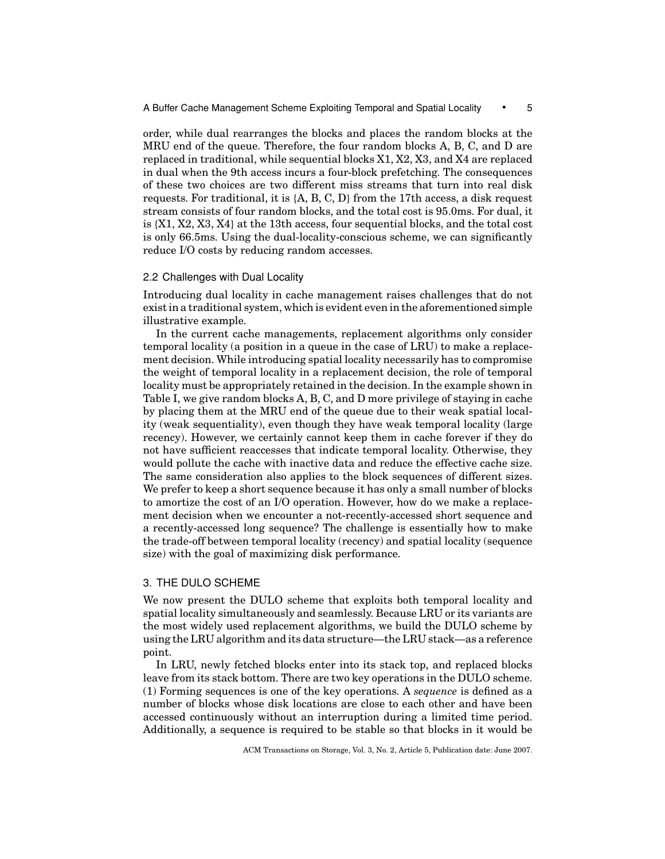order, while dual rearranges the blocks and places the random blocks at the MRU end of the queue. Therefore, the four random blocks A, B, C, and D are replaced in traditional, while sequential blocks X1, X2, X3, and X4 are replaced in dual when the 9th access incurs a four-block prefetching. The consequences of these two choices are two different miss streams that turn into real disk requests. For traditional, it is  ${A, B, C, D}$  from the 17th access, a disk request stream consists of four random blocks, and the total cost is 95.0ms. For dual, it is {X1, X2, X3, X4} at the 13th access, four sequential blocks, and the total cost is only 66.5ms. Using the dual-locality-conscious scheme, we can significantly reduce I/O costs by reducing random accesses.

# 2.2 Challenges with Dual Locality

Introducing dual locality in cache management raises challenges that do not exist in a traditional system, which is evident even in the aforementioned simple illustrative example.

In the current cache managements, replacement algorithms only consider temporal locality (a position in a queue in the case of LRU) to make a replacement decision. While introducing spatial locality necessarily has to compromise the weight of temporal locality in a replacement decision, the role of temporal locality must be appropriately retained in the decision. In the example shown in Table I, we give random blocks A, B, C, and D more privilege of staying in cache by placing them at the MRU end of the queue due to their weak spatial locality (weak sequentiality), even though they have weak temporal locality (large recency). However, we certainly cannot keep them in cache forever if they do not have sufficient reaccesses that indicate temporal locality. Otherwise, they would pollute the cache with inactive data and reduce the effective cache size. The same consideration also applies to the block sequences of different sizes. We prefer to keep a short sequence because it has only a small number of blocks to amortize the cost of an I/O operation. However, how do we make a replacement decision when we encounter a not-recently-accessed short sequence and a recently-accessed long sequence? The challenge is essentially how to make the trade-off between temporal locality (recency) and spatial locality (sequence size) with the goal of maximizing disk performance.

# 3. THE DULO SCHEME

We now present the DULO scheme that exploits both temporal locality and spatial locality simultaneously and seamlessly. Because LRU or its variants are the most widely used replacement algorithms, we build the DULO scheme by using the LRU algorithm and its data structure—the LRU stack—as a reference point.

In LRU, newly fetched blocks enter into its stack top, and replaced blocks leave from its stack bottom. There are two key operations in the DULO scheme. (1) Forming sequences is one of the key operations. A *sequence* is defined as a number of blocks whose disk locations are close to each other and have been accessed continuously without an interruption during a limited time period. Additionally, a sequence is required to be stable so that blocks in it would be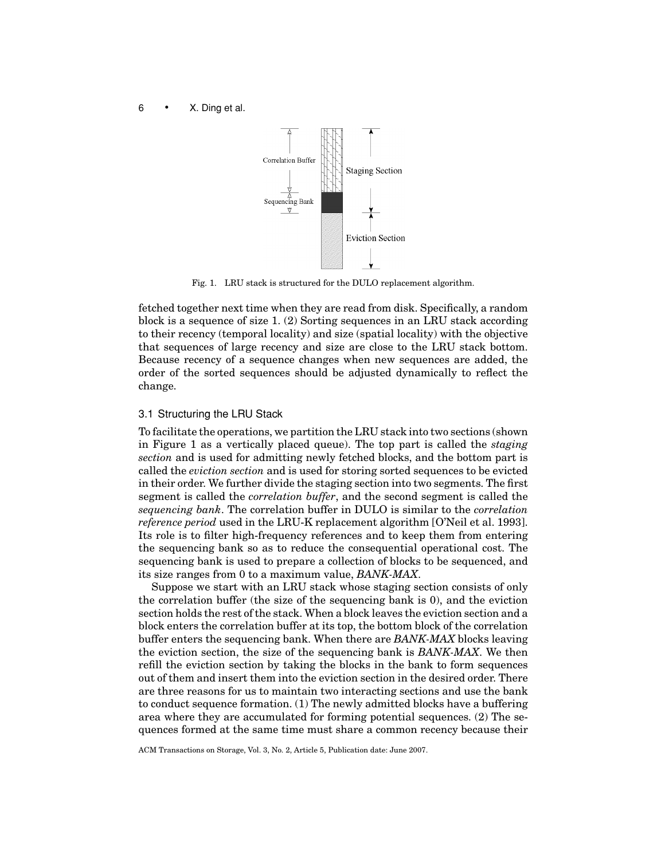

Fig. 1. LRU stack is structured for the DULO replacement algorithm.

fetched together next time when they are read from disk. Specifically, a random block is a sequence of size 1. (2) Sorting sequences in an LRU stack according to their recency (temporal locality) and size (spatial locality) with the objective that sequences of large recency and size are close to the LRU stack bottom. Because recency of a sequence changes when new sequences are added, the order of the sorted sequences should be adjusted dynamically to reflect the change.

# 3.1 Structuring the LRU Stack

To facilitate the operations, we partition the LRU stack into two sections (shown in Figure 1 as a vertically placed queue). The top part is called the *staging section* and is used for admitting newly fetched blocks, and the bottom part is called the *eviction section* and is used for storing sorted sequences to be evicted in their order. We further divide the staging section into two segments. The first segment is called the *correlation buffer*, and the second segment is called the *sequencing bank*. The correlation buffer in DULO is similar to the *correlation reference period* used in the LRU-K replacement algorithm [O'Neil et al. 1993]. Its role is to filter high-frequency references and to keep them from entering the sequencing bank so as to reduce the consequential operational cost. The sequencing bank is used to prepare a collection of blocks to be sequenced, and its size ranges from 0 to a maximum value, *BANK-MAX*.

Suppose we start with an LRU stack whose staging section consists of only the correlation buffer (the size of the sequencing bank is 0), and the eviction section holds the rest of the stack. When a block leaves the eviction section and a block enters the correlation buffer at its top, the bottom block of the correlation buffer enters the sequencing bank. When there are *BANK-MAX* blocks leaving the eviction section, the size of the sequencing bank is *BANK-MAX*. We then refill the eviction section by taking the blocks in the bank to form sequences out of them and insert them into the eviction section in the desired order. There are three reasons for us to maintain two interacting sections and use the bank to conduct sequence formation. (1) The newly admitted blocks have a buffering area where they are accumulated for forming potential sequences. (2) The sequences formed at the same time must share a common recency because their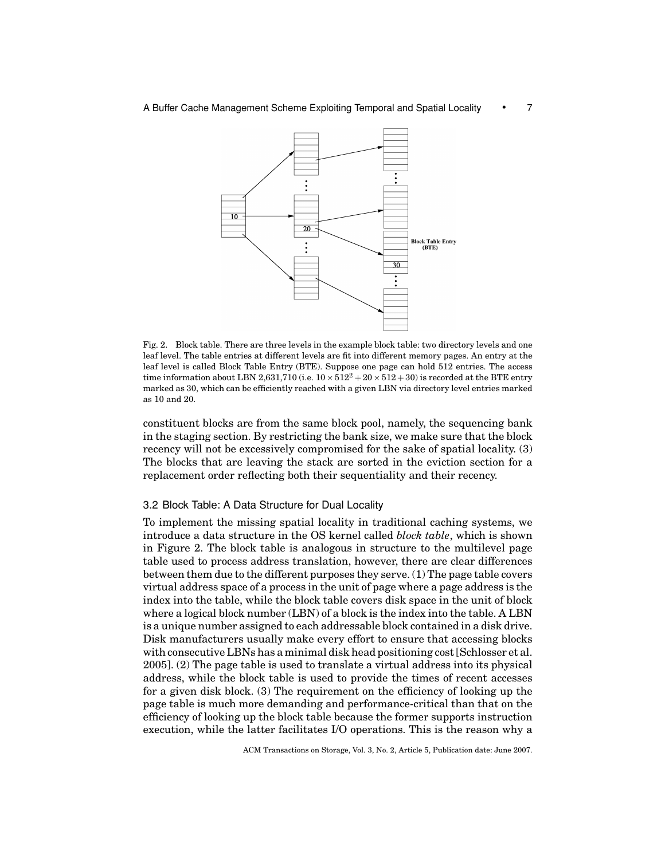

Fig. 2. Block table. There are three levels in the example block table: two directory levels and one leaf level. The table entries at different levels are fit into different memory pages. An entry at the leaf level is called Block Table Entry (BTE). Suppose one page can hold 512 entries. The access time information about LBN 2,631,710 (i.e.  $10 \times 512^2 + 20 \times 512 + 30$ ) is recorded at the BTE entry marked as 30, which can be efficiently reached with a given LBN via directory level entries marked as 10 and 20.

constituent blocks are from the same block pool, namely, the sequencing bank in the staging section. By restricting the bank size, we make sure that the block recency will not be excessively compromised for the sake of spatial locality. (3) The blocks that are leaving the stack are sorted in the eviction section for a replacement order reflecting both their sequentiality and their recency.

# 3.2 Block Table: A Data Structure for Dual Locality

To implement the missing spatial locality in traditional caching systems, we introduce a data structure in the OS kernel called *block table*, which is shown in Figure 2. The block table is analogous in structure to the multilevel page table used to process address translation, however, there are clear differences between them due to the different purposes they serve. (1) The page table covers virtual address space of a process in the unit of page where a page address is the index into the table, while the block table covers disk space in the unit of block where a logical block number (LBN) of a block is the index into the table. A LBN is a unique number assigned to each addressable block contained in a disk drive. Disk manufacturers usually make every effort to ensure that accessing blocks with consecutive LBNs has a minimal disk head positioning cost [Schlosser et al. 2005]. (2) The page table is used to translate a virtual address into its physical address, while the block table is used to provide the times of recent accesses for a given disk block. (3) The requirement on the efficiency of looking up the page table is much more demanding and performance-critical than that on the efficiency of looking up the block table because the former supports instruction execution, while the latter facilitates I/O operations. This is the reason why a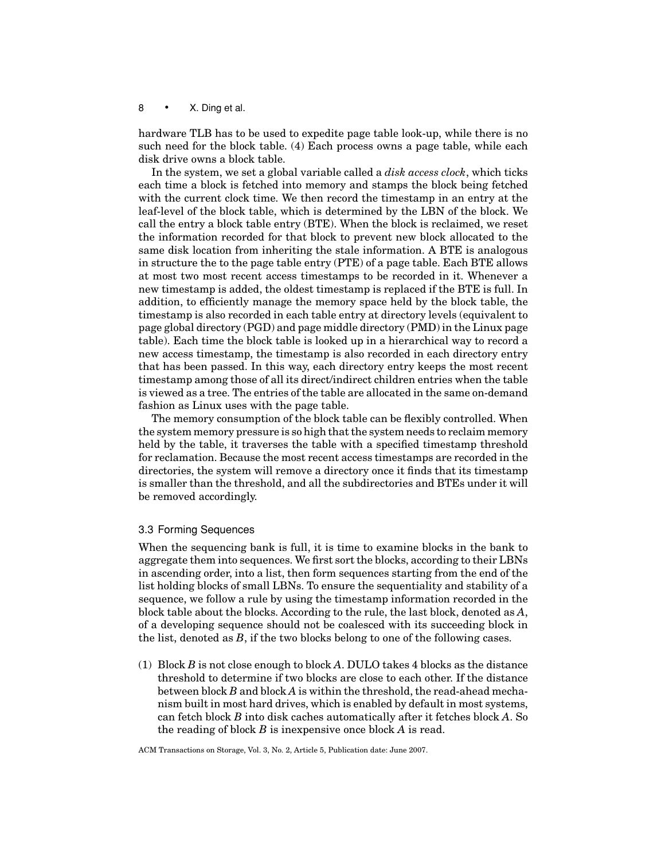hardware TLB has to be used to expedite page table look-up, while there is no such need for the block table. (4) Each process owns a page table, while each disk drive owns a block table.

In the system, we set a global variable called a *disk access clock*, which ticks each time a block is fetched into memory and stamps the block being fetched with the current clock time. We then record the timestamp in an entry at the leaf-level of the block table, which is determined by the LBN of the block. We call the entry a block table entry (BTE). When the block is reclaimed, we reset the information recorded for that block to prevent new block allocated to the same disk location from inheriting the stale information. A BTE is analogous in structure the to the page table entry (PTE) of a page table. Each BTE allows at most two most recent access timestamps to be recorded in it. Whenever a new timestamp is added, the oldest timestamp is replaced if the BTE is full. In addition, to efficiently manage the memory space held by the block table, the timestamp is also recorded in each table entry at directory levels (equivalent to page global directory (PGD) and page middle directory (PMD) in the Linux page table). Each time the block table is looked up in a hierarchical way to record a new access timestamp, the timestamp is also recorded in each directory entry that has been passed. In this way, each directory entry keeps the most recent timestamp among those of all its direct/indirect children entries when the table is viewed as a tree. The entries of the table are allocated in the same on-demand fashion as Linux uses with the page table.

The memory consumption of the block table can be flexibly controlled. When the system memory pressure is so high that the system needs to reclaim memory held by the table, it traverses the table with a specified timestamp threshold for reclamation. Because the most recent access timestamps are recorded in the directories, the system will remove a directory once it finds that its timestamp is smaller than the threshold, and all the subdirectories and BTEs under it will be removed accordingly.

# 3.3 Forming Sequences

When the sequencing bank is full, it is time to examine blocks in the bank to aggregate them into sequences. We first sort the blocks, according to their LBNs in ascending order, into a list, then form sequences starting from the end of the list holding blocks of small LBNs. To ensure the sequentiality and stability of a sequence, we follow a rule by using the timestamp information recorded in the block table about the blocks. According to the rule, the last block, denoted as *A*, of a developing sequence should not be coalesced with its succeeding block in the list, denoted as *B*, if the two blocks belong to one of the following cases.

(1) Block *B* is not close enough to block *A*. DULO takes 4 blocks as the distance threshold to determine if two blocks are close to each other. If the distance between block *B* and block *A* is within the threshold, the read-ahead mechanism built in most hard drives, which is enabled by default in most systems, can fetch block *B* into disk caches automatically after it fetches block *A*. So the reading of block *B* is inexpensive once block *A* is read.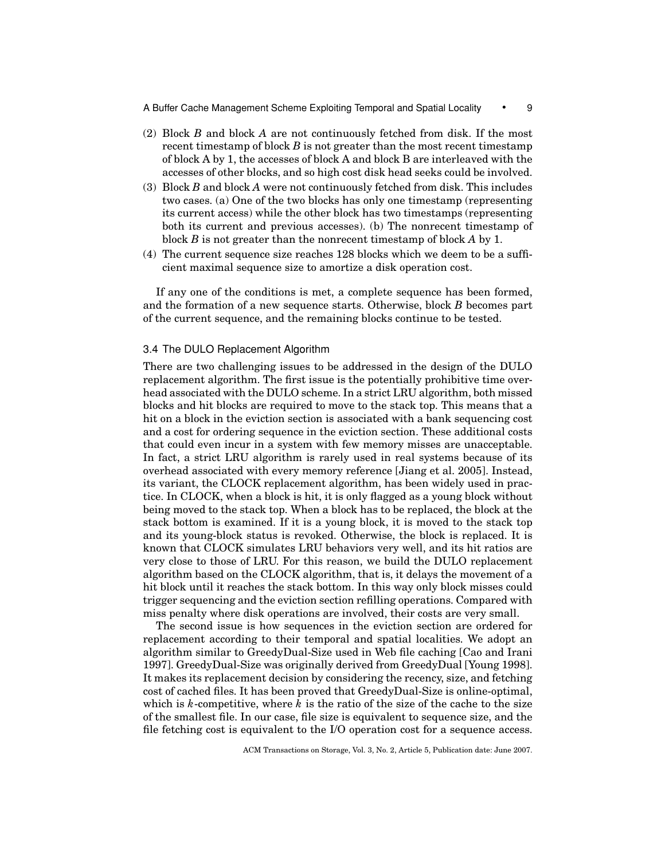A Buffer Cache Management Scheme Exploiting Temporal and Spatial Locality • 9

- (2) Block *B* and block *A* are not continuously fetched from disk. If the most recent timestamp of block *B* is not greater than the most recent timestamp of block A by 1, the accesses of block A and block B are interleaved with the accesses of other blocks, and so high cost disk head seeks could be involved.
- (3) Block *B* and block *A* were not continuously fetched from disk. This includes two cases. (a) One of the two blocks has only one timestamp (representing its current access) while the other block has two timestamps (representing both its current and previous accesses). (b) The nonrecent timestamp of block *B* is not greater than the nonrecent timestamp of block *A* by 1.
- (4) The current sequence size reaches 128 blocks which we deem to be a sufficient maximal sequence size to amortize a disk operation cost.

If any one of the conditions is met, a complete sequence has been formed, and the formation of a new sequence starts. Otherwise, block *B* becomes part of the current sequence, and the remaining blocks continue to be tested.

# 3.4 The DULO Replacement Algorithm

There are two challenging issues to be addressed in the design of the DULO replacement algorithm. The first issue is the potentially prohibitive time overhead associated with the DULO scheme. In a strict LRU algorithm, both missed blocks and hit blocks are required to move to the stack top. This means that a hit on a block in the eviction section is associated with a bank sequencing cost and a cost for ordering sequence in the eviction section. These additional costs that could even incur in a system with few memory misses are unacceptable. In fact, a strict LRU algorithm is rarely used in real systems because of its overhead associated with every memory reference [Jiang et al. 2005]. Instead, its variant, the CLOCK replacement algorithm, has been widely used in practice. In CLOCK, when a block is hit, it is only flagged as a young block without being moved to the stack top. When a block has to be replaced, the block at the stack bottom is examined. If it is a young block, it is moved to the stack top and its young-block status is revoked. Otherwise, the block is replaced. It is known that CLOCK simulates LRU behaviors very well, and its hit ratios are very close to those of LRU. For this reason, we build the DULO replacement algorithm based on the CLOCK algorithm, that is, it delays the movement of a hit block until it reaches the stack bottom. In this way only block misses could trigger sequencing and the eviction section refilling operations. Compared with miss penalty where disk operations are involved, their costs are very small.

The second issue is how sequences in the eviction section are ordered for replacement according to their temporal and spatial localities. We adopt an algorithm similar to GreedyDual-Size used in Web file caching [Cao and Irani 1997]. GreedyDual-Size was originally derived from GreedyDual [Young 1998]. It makes its replacement decision by considering the recency, size, and fetching cost of cached files. It has been proved that GreedyDual-Size is online-optimal, which is *k*-competitive, where *k* is the ratio of the size of the cache to the size of the smallest file. In our case, file size is equivalent to sequence size, and the file fetching cost is equivalent to the I/O operation cost for a sequence access.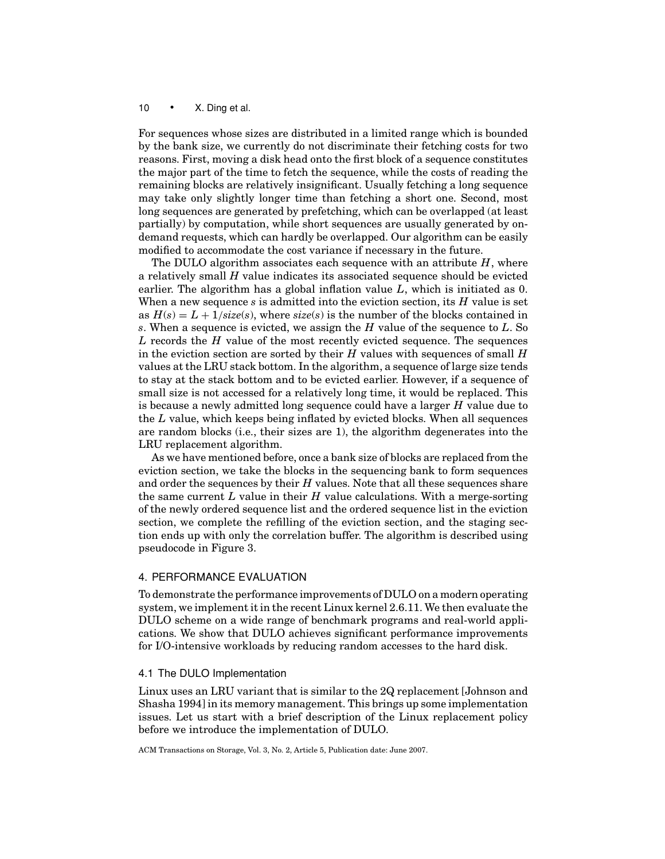For sequences whose sizes are distributed in a limited range which is bounded by the bank size, we currently do not discriminate their fetching costs for two reasons. First, moving a disk head onto the first block of a sequence constitutes the major part of the time to fetch the sequence, while the costs of reading the remaining blocks are relatively insignificant. Usually fetching a long sequence may take only slightly longer time than fetching a short one. Second, most long sequences are generated by prefetching, which can be overlapped (at least partially) by computation, while short sequences are usually generated by ondemand requests, which can hardly be overlapped. Our algorithm can be easily modified to accommodate the cost variance if necessary in the future.

The DULO algorithm associates each sequence with an attribute *H*, where a relatively small *H* value indicates its associated sequence should be evicted earlier. The algorithm has a global inflation value *L*, which is initiated as 0. When a new sequence *s* is admitted into the eviction section, its *H* value is set as  $H(s) = L + 1/size(s)$ , where  $size(s)$  is the number of the blocks contained in *s*. When a sequence is evicted, we assign the *H* value of the sequence to *L*. So *L* records the *H* value of the most recently evicted sequence. The sequences in the eviction section are sorted by their *H* values with sequences of small *H* values at the LRU stack bottom. In the algorithm, a sequence of large size tends to stay at the stack bottom and to be evicted earlier. However, if a sequence of small size is not accessed for a relatively long time, it would be replaced. This is because a newly admitted long sequence could have a larger *H* value due to the *L* value, which keeps being inflated by evicted blocks. When all sequences are random blocks (i.e., their sizes are 1), the algorithm degenerates into the LRU replacement algorithm.

As we have mentioned before, once a bank size of blocks are replaced from the eviction section, we take the blocks in the sequencing bank to form sequences and order the sequences by their *H* values. Note that all these sequences share the same current *L* value in their *H* value calculations. With a merge-sorting of the newly ordered sequence list and the ordered sequence list in the eviction section, we complete the refilling of the eviction section, and the staging section ends up with only the correlation buffer. The algorithm is described using pseudocode in Figure 3.

## 4. PERFORMANCE EVALUATION

To demonstrate the performance improvements of DULO on a modern operating system, we implement it in the recent Linux kernel 2.6.11. We then evaluate the DULO scheme on a wide range of benchmark programs and real-world applications. We show that DULO achieves significant performance improvements for I/O-intensive workloads by reducing random accesses to the hard disk.

# 4.1 The DULO Implementation

Linux uses an LRU variant that is similar to the 2Q replacement [Johnson and Shasha 1994] in its memory management. This brings up some implementation issues. Let us start with a brief description of the Linux replacement policy before we introduce the implementation of DULO.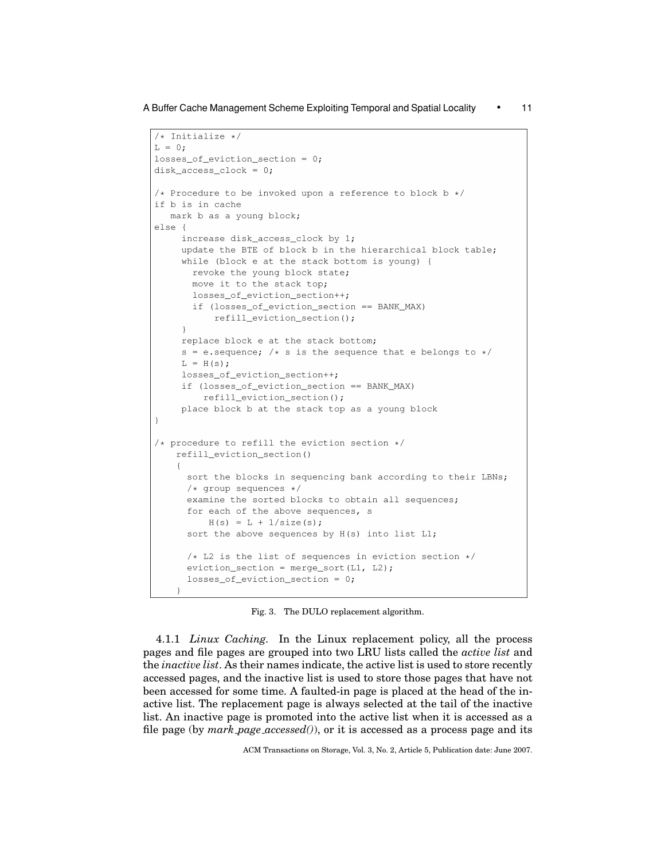A Buffer Cache Management Scheme Exploiting Temporal and Spatial Locality • 11

```
/* Initialize */
T_1 = 0:
losses_of_eviction_esection = 0;disk access clock = 0;
/* Procedure to be invoked upon a reference to block b */
if b is in cache
  mark b as a young block;
else {
    increase disk access clock by 1;
    update the BTE of block b in the hierarchical block table;
     while (block e at the stack bottom is young) {
       revoke the young block state;
       move it to the stack top;
       losses_of_eviction_section++;
       if (losses_of_eviction_section == BANK_MAX)
           refill_eviction_section();
     \mathbf{R}replace block e at the stack bottom;
     s = e.sequence; /* s is the sequence that e belongs to */
     L = H(s);losses_of_eviction_section++;
     if (losses_of_eviction_section == BANK_MAX)
         refill_eviction_section();
     place block b at the stack top as a young block
\mathcal{E}/* procedure to refill the eviction section */
    refill_eviction_section()
    \left\{ \right.sort the blocks in sequencing bank according to their LBNs;
      /* group sequences */examine the sorted blocks to obtain all sequences;
      for each of the above sequences, s
          H(s) = L + 1/size(s);sort the above sequences by H(s) into list L1;
      /* L2 is the list of sequences in eviction section */eviction_section = merge_sort (L1, L2);
      losses_of\_eviction\_section = 0;
```
Fig. 3. The DULO replacement algorithm.

4.1.1 *Linux Caching.* In the Linux replacement policy, all the process pages and file pages are grouped into two LRU lists called the *active list* and the *inactive list*. As their names indicate, the active list is used to store recently accessed pages, and the inactive list is used to store those pages that have not been accessed for some time. A faulted-in page is placed at the head of the inactive list. The replacement page is always selected at the tail of the inactive list. An inactive page is promoted into the active list when it is accessed as a file page (by *mark page accessed()*), or it is accessed as a process page and its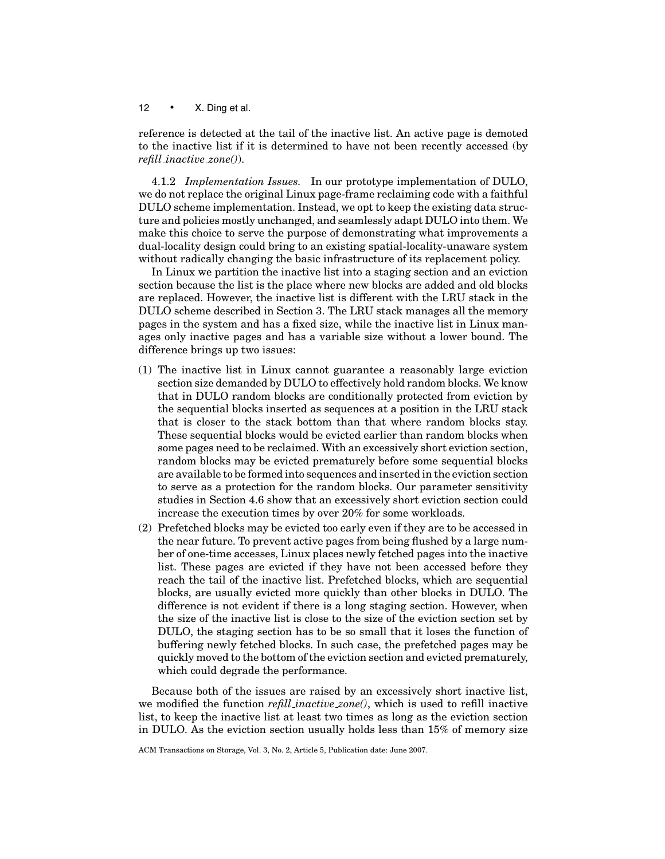reference is detected at the tail of the inactive list. An active page is demoted to the inactive list if it is determined to have not been recently accessed (by *refill inactive zone()*).

4.1.2 *Implementation Issues.* In our prototype implementation of DULO, we do not replace the original Linux page-frame reclaiming code with a faithful DULO scheme implementation. Instead, we opt to keep the existing data structure and policies mostly unchanged, and seamlessly adapt DULO into them. We make this choice to serve the purpose of demonstrating what improvements a dual-locality design could bring to an existing spatial-locality-unaware system without radically changing the basic infrastructure of its replacement policy.

In Linux we partition the inactive list into a staging section and an eviction section because the list is the place where new blocks are added and old blocks are replaced. However, the inactive list is different with the LRU stack in the DULO scheme described in Section 3. The LRU stack manages all the memory pages in the system and has a fixed size, while the inactive list in Linux manages only inactive pages and has a variable size without a lower bound. The difference brings up two issues:

- (1) The inactive list in Linux cannot guarantee a reasonably large eviction section size demanded by DULO to effectively hold random blocks. We know that in DULO random blocks are conditionally protected from eviction by the sequential blocks inserted as sequences at a position in the LRU stack that is closer to the stack bottom than that where random blocks stay. These sequential blocks would be evicted earlier than random blocks when some pages need to be reclaimed. With an excessively short eviction section, random blocks may be evicted prematurely before some sequential blocks are available to be formed into sequences and inserted in the eviction section to serve as a protection for the random blocks. Our parameter sensitivity studies in Section 4.6 show that an excessively short eviction section could increase the execution times by over 20% for some workloads.
- (2) Prefetched blocks may be evicted too early even if they are to be accessed in the near future. To prevent active pages from being flushed by a large number of one-time accesses, Linux places newly fetched pages into the inactive list. These pages are evicted if they have not been accessed before they reach the tail of the inactive list. Prefetched blocks, which are sequential blocks, are usually evicted more quickly than other blocks in DULO. The difference is not evident if there is a long staging section. However, when the size of the inactive list is close to the size of the eviction section set by DULO, the staging section has to be so small that it loses the function of buffering newly fetched blocks. In such case, the prefetched pages may be quickly moved to the bottom of the eviction section and evicted prematurely, which could degrade the performance.

Because both of the issues are raised by an excessively short inactive list, we modified the function *refill inactive zone()*, which is used to refill inactive list, to keep the inactive list at least two times as long as the eviction section in DULO. As the eviction section usually holds less than 15% of memory size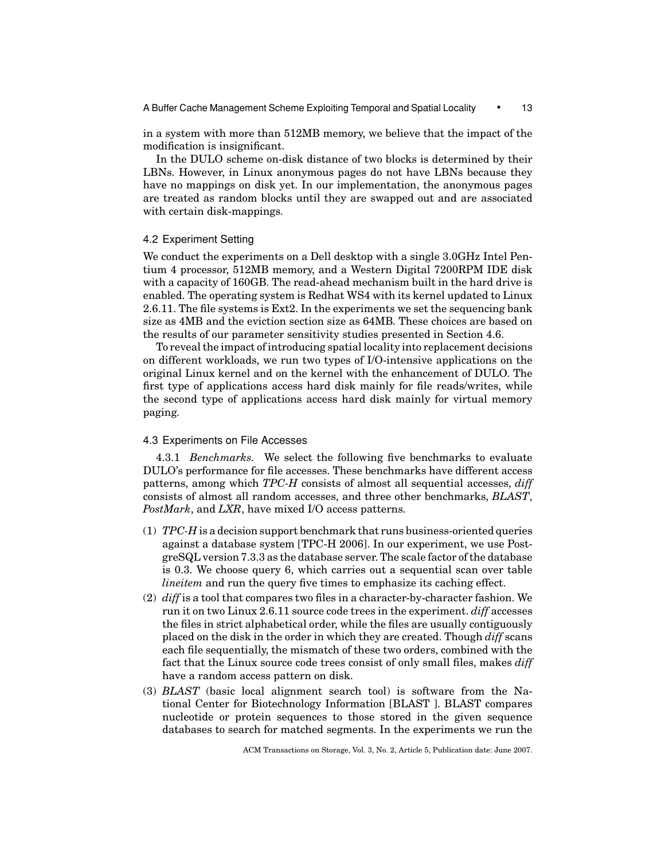in a system with more than 512MB memory, we believe that the impact of the modification is insignificant.

In the DULO scheme on-disk distance of two blocks is determined by their LBNs. However, in Linux anonymous pages do not have LBNs because they have no mappings on disk yet. In our implementation, the anonymous pages are treated as random blocks until they are swapped out and are associated with certain disk-mappings.

# 4.2 Experiment Setting

We conduct the experiments on a Dell desktop with a single 3.0GHz Intel Pentium 4 processor, 512MB memory, and a Western Digital 7200RPM IDE disk with a capacity of 160GB. The read-ahead mechanism built in the hard drive is enabled. The operating system is Redhat WS4 with its kernel updated to Linux 2.6.11. The file systems is Ext2. In the experiments we set the sequencing bank size as 4MB and the eviction section size as 64MB. These choices are based on the results of our parameter sensitivity studies presented in Section 4.6.

To reveal the impact of introducing spatial locality into replacement decisions on different workloads, we run two types of I/O-intensive applications on the original Linux kernel and on the kernel with the enhancement of DULO. The first type of applications access hard disk mainly for file reads/writes, while the second type of applications access hard disk mainly for virtual memory paging.

## 4.3 Experiments on File Accesses

4.3.1 *Benchmarks.* We select the following five benchmarks to evaluate DULO's performance for file accesses. These benchmarks have different access patterns, among which *TPC-H* consists of almost all sequential accesses, *diff* consists of almost all random accesses, and three other benchmarks, *BLAST*, *PostMark*, and *LXR*, have mixed I/O access patterns.

- (1) *TPC-H* is a decision support benchmark that runs business-oriented queries against a database system [TPC-H 2006]. In our experiment, we use PostgreSQL version 7.3.3 as the database server. The scale factor of the database is 0.3. We choose query 6, which carries out a sequential scan over table *lineitem* and run the query five times to emphasize its caching effect.
- (2) *diff* is a tool that compares two files in a character-by-character fashion. We run it on two Linux 2.6.11 source code trees in the experiment. *diff* accesses the files in strict alphabetical order, while the files are usually contiguously placed on the disk in the order in which they are created. Though *diff* scans each file sequentially, the mismatch of these two orders, combined with the fact that the Linux source code trees consist of only small files, makes *diff* have a random access pattern on disk.
- (3) *BLAST* (basic local alignment search tool) is software from the National Center for Biotechnology Information [BLAST ]. BLAST compares nucleotide or protein sequences to those stored in the given sequence databases to search for matched segments. In the experiments we run the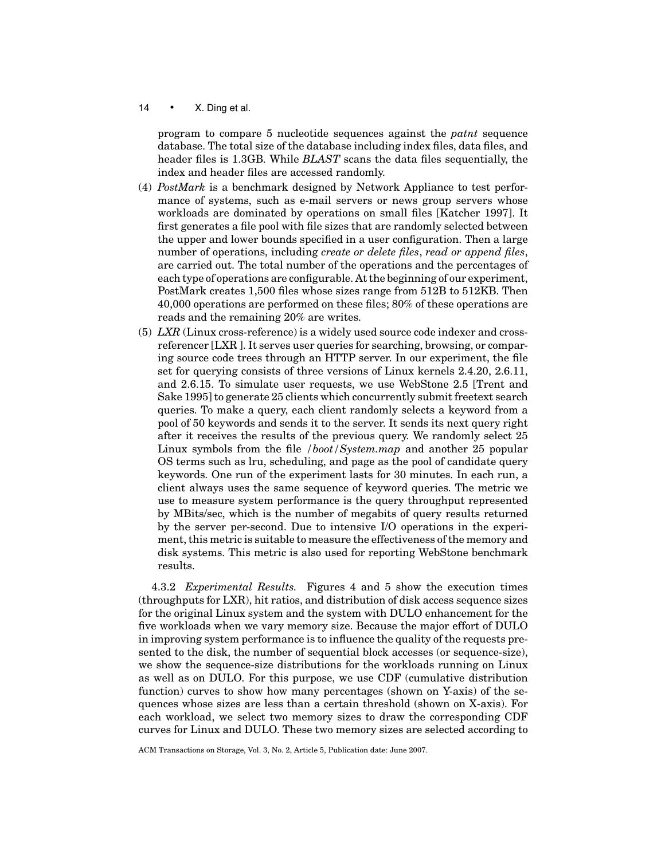program to compare 5 nucleotide sequences against the *patnt* sequence database. The total size of the database including index files, data files, and header files is 1.3GB. While *BLAST* scans the data files sequentially, the index and header files are accessed randomly.

- (4) *PostMark* is a benchmark designed by Network Appliance to test performance of systems, such as e-mail servers or news group servers whose workloads are dominated by operations on small files [Katcher 1997]. It first generates a file pool with file sizes that are randomly selected between the upper and lower bounds specified in a user configuration. Then a large number of operations, including *create or delete files*, *read or append files*, are carried out. The total number of the operations and the percentages of each type of operations are configurable. At the beginning of our experiment, PostMark creates 1,500 files whose sizes range from 512B to 512KB. Then 40,000 operations are performed on these files; 80% of these operations are reads and the remaining 20% are writes.
- (5) *LXR* (Linux cross-reference) is a widely used source code indexer and crossreferencer [LXR ]. It serves user queries for searching, browsing, or comparing source code trees through an HTTP server. In our experiment, the file set for querying consists of three versions of Linux kernels 2.4.20, 2.6.11, and 2.6.15. To simulate user requests, we use WebStone 2.5 [Trent and Sake 1995] to generate 25 clients which concurrently submit freetext search queries. To make a query, each client randomly selects a keyword from a pool of 50 keywords and sends it to the server. It sends its next query right after it receives the results of the previous query. We randomly select 25 Linux symbols from the file */boot/System.map* and another 25 popular OS terms such as lru, scheduling, and page as the pool of candidate query keywords. One run of the experiment lasts for 30 minutes. In each run, a client always uses the same sequence of keyword queries. The metric we use to measure system performance is the query throughput represented by MBits/sec, which is the number of megabits of query results returned by the server per-second. Due to intensive I/O operations in the experiment, this metric is suitable to measure the effectiveness of the memory and disk systems. This metric is also used for reporting WebStone benchmark results.

4.3.2 *Experimental Results.* Figures 4 and 5 show the execution times (throughputs for LXR), hit ratios, and distribution of disk access sequence sizes for the original Linux system and the system with DULO enhancement for the five workloads when we vary memory size. Because the major effort of DULO in improving system performance is to influence the quality of the requests presented to the disk, the number of sequential block accesses (or sequence-size), we show the sequence-size distributions for the workloads running on Linux as well as on DULO. For this purpose, we use CDF (cumulative distribution function) curves to show how many percentages (shown on Y-axis) of the sequences whose sizes are less than a certain threshold (shown on X-axis). For each workload, we select two memory sizes to draw the corresponding CDF curves for Linux and DULO. These two memory sizes are selected according to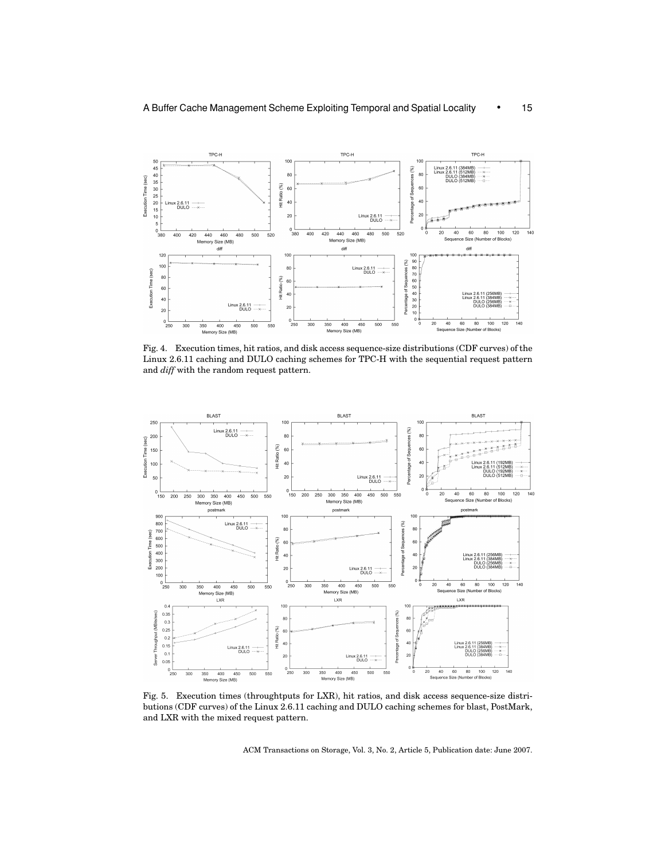

Fig. 4. Execution times, hit ratios, and disk access sequence-size distributions (CDF curves) of the Linux 2.6.11 caching and DULO caching schemes for TPC-H with the sequential request pattern and *diff* with the random request pattern.



Fig. 5. Execution times (throughtputs for LXR), hit ratios, and disk access sequence-size distributions (CDF curves) of the Linux 2.6.11 caching and DULO caching schemes for blast, PostMark, and LXR with the mixed request pattern.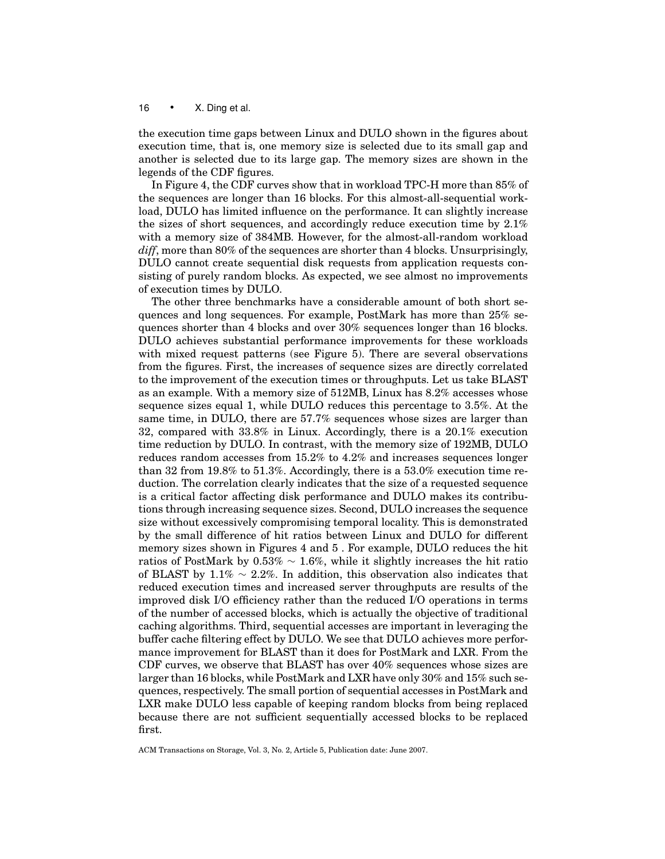the execution time gaps between Linux and DULO shown in the figures about execution time, that is, one memory size is selected due to its small gap and another is selected due to its large gap. The memory sizes are shown in the legends of the CDF figures.

In Figure 4, the CDF curves show that in workload TPC-H more than 85% of the sequences are longer than 16 blocks. For this almost-all-sequential workload, DULO has limited influence on the performance. It can slightly increase the sizes of short sequences, and accordingly reduce execution time by 2.1% with a memory size of 384MB. However, for the almost-all-random workload *diff*, more than 80% of the sequences are shorter than 4 blocks. Unsurprisingly, DULO cannot create sequential disk requests from application requests consisting of purely random blocks. As expected, we see almost no improvements of execution times by DULO.

The other three benchmarks have a considerable amount of both short sequences and long sequences. For example, PostMark has more than 25% sequences shorter than 4 blocks and over 30% sequences longer than 16 blocks. DULO achieves substantial performance improvements for these workloads with mixed request patterns (see Figure 5). There are several observations from the figures. First, the increases of sequence sizes are directly correlated to the improvement of the execution times or throughputs. Let us take BLAST as an example. With a memory size of 512MB, Linux has 8.2% accesses whose sequence sizes equal 1, while DULO reduces this percentage to 3.5%. At the same time, in DULO, there are 57.7% sequences whose sizes are larger than 32, compared with 33.8% in Linux. Accordingly, there is a 20.1% execution time reduction by DULO. In contrast, with the memory size of 192MB, DULO reduces random accesses from 15.2% to 4.2% and increases sequences longer than 32 from 19.8% to 51.3%. Accordingly, there is a 53.0% execution time reduction. The correlation clearly indicates that the size of a requested sequence is a critical factor affecting disk performance and DULO makes its contributions through increasing sequence sizes. Second, DULO increases the sequence size without excessively compromising temporal locality. This is demonstrated by the small difference of hit ratios between Linux and DULO for different memory sizes shown in Figures 4 and 5 . For example, DULO reduces the hit ratios of PostMark by  $0.53\% \sim 1.6\%$ , while it slightly increases the hit ratio of BLAST by 1.1%  $\sim$  2.2%. In addition, this observation also indicates that reduced execution times and increased server throughputs are results of the improved disk I/O efficiency rather than the reduced I/O operations in terms of the number of accessed blocks, which is actually the objective of traditional caching algorithms. Third, sequential accesses are important in leveraging the buffer cache filtering effect by DULO. We see that DULO achieves more performance improvement for BLAST than it does for PostMark and LXR. From the CDF curves, we observe that BLAST has over 40% sequences whose sizes are larger than 16 blocks, while PostMark and LXR have only 30% and 15% such sequences, respectively. The small portion of sequential accesses in PostMark and LXR make DULO less capable of keeping random blocks from being replaced because there are not sufficient sequentially accessed blocks to be replaced first.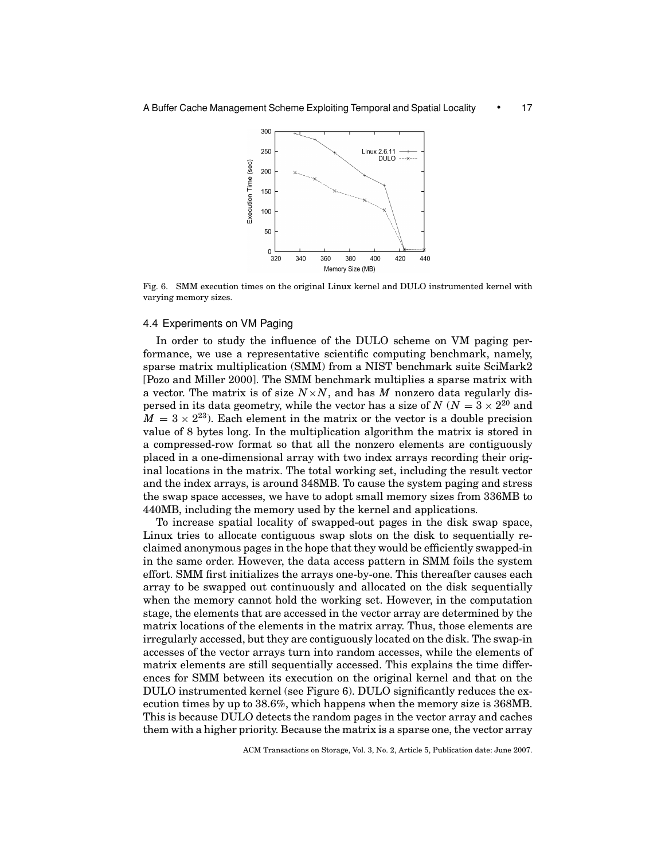

Fig. 6. SMM execution times on the original Linux kernel and DULO instrumented kernel with varying memory sizes.

# 4.4 Experiments on VM Paging

In order to study the influence of the DULO scheme on VM paging performance, we use a representative scientific computing benchmark, namely, sparse matrix multiplication (SMM) from a NIST benchmark suite SciMark2 [Pozo and Miller 2000]. The SMM benchmark multiplies a sparse matrix with a vector. The matrix is of size  $N \times N$ , and has *M* nonzero data regularly dispersed in its data geometry, while the vector has a size of  $N(N = 3 \times 2^{20})$  and  $M = 3 \times 2^{23}$ ). Each element in the matrix or the vector is a double precision value of 8 bytes long. In the multiplication algorithm the matrix is stored in a compressed-row format so that all the nonzero elements are contiguously placed in a one-dimensional array with two index arrays recording their original locations in the matrix. The total working set, including the result vector and the index arrays, is around 348MB. To cause the system paging and stress the swap space accesses, we have to adopt small memory sizes from 336MB to 440MB, including the memory used by the kernel and applications.

To increase spatial locality of swapped-out pages in the disk swap space, Linux tries to allocate contiguous swap slots on the disk to sequentially reclaimed anonymous pages in the hope that they would be efficiently swapped-in in the same order. However, the data access pattern in SMM foils the system effort. SMM first initializes the arrays one-by-one. This thereafter causes each array to be swapped out continuously and allocated on the disk sequentially when the memory cannot hold the working set. However, in the computation stage, the elements that are accessed in the vector array are determined by the matrix locations of the elements in the matrix array. Thus, those elements are irregularly accessed, but they are contiguously located on the disk. The swap-in accesses of the vector arrays turn into random accesses, while the elements of matrix elements are still sequentially accessed. This explains the time differences for SMM between its execution on the original kernel and that on the DULO instrumented kernel (see Figure 6). DULO significantly reduces the execution times by up to 38.6%, which happens when the memory size is 368MB. This is because DULO detects the random pages in the vector array and caches them with a higher priority. Because the matrix is a sparse one, the vector array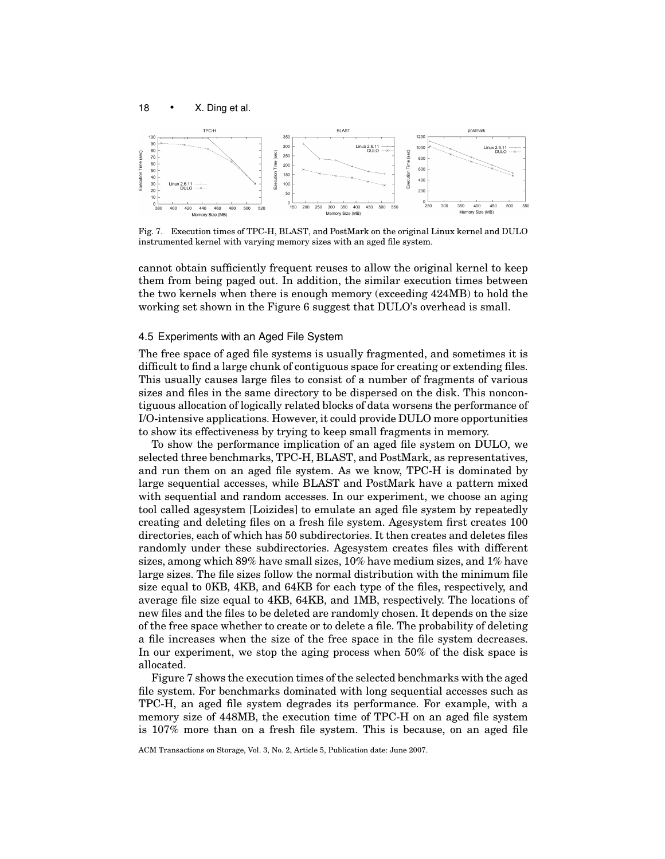

Fig. 7. Execution times of TPC-H, BLAST, and PostMark on the original Linux kernel and DULO instrumented kernel with varying memory sizes with an aged file system.

cannot obtain sufficiently frequent reuses to allow the original kernel to keep them from being paged out. In addition, the similar execution times between the two kernels when there is enough memory (exceeding 424MB) to hold the working set shown in the Figure 6 suggest that DULO's overhead is small.

# 4.5 Experiments with an Aged File System

The free space of aged file systems is usually fragmented, and sometimes it is difficult to find a large chunk of contiguous space for creating or extending files. This usually causes large files to consist of a number of fragments of various sizes and files in the same directory to be dispersed on the disk. This noncontiguous allocation of logically related blocks of data worsens the performance of I/O-intensive applications. However, it could provide DULO more opportunities to show its effectiveness by trying to keep small fragments in memory.

To show the performance implication of an aged file system on DULO, we selected three benchmarks, TPC-H, BLAST, and PostMark, as representatives, and run them on an aged file system. As we know, TPC-H is dominated by large sequential accesses, while BLAST and PostMark have a pattern mixed with sequential and random accesses. In our experiment, we choose an aging tool called agesystem [Loizides] to emulate an aged file system by repeatedly creating and deleting files on a fresh file system. Agesystem first creates 100 directories, each of which has 50 subdirectories. It then creates and deletes files randomly under these subdirectories. Agesystem creates files with different sizes, among which 89% have small sizes, 10% have medium sizes, and 1% have large sizes. The file sizes follow the normal distribution with the minimum file size equal to 0KB, 4KB, and 64KB for each type of the files, respectively, and average file size equal to 4KB, 64KB, and 1MB, respectively. The locations of new files and the files to be deleted are randomly chosen. It depends on the size of the free space whether to create or to delete a file. The probability of deleting a file increases when the size of the free space in the file system decreases. In our experiment, we stop the aging process when 50% of the disk space is allocated.

Figure 7 shows the execution times of the selected benchmarks with the aged file system. For benchmarks dominated with long sequential accesses such as TPC-H, an aged file system degrades its performance. For example, with a memory size of 448MB, the execution time of TPC-H on an aged file system is 107% more than on a fresh file system. This is because, on an aged file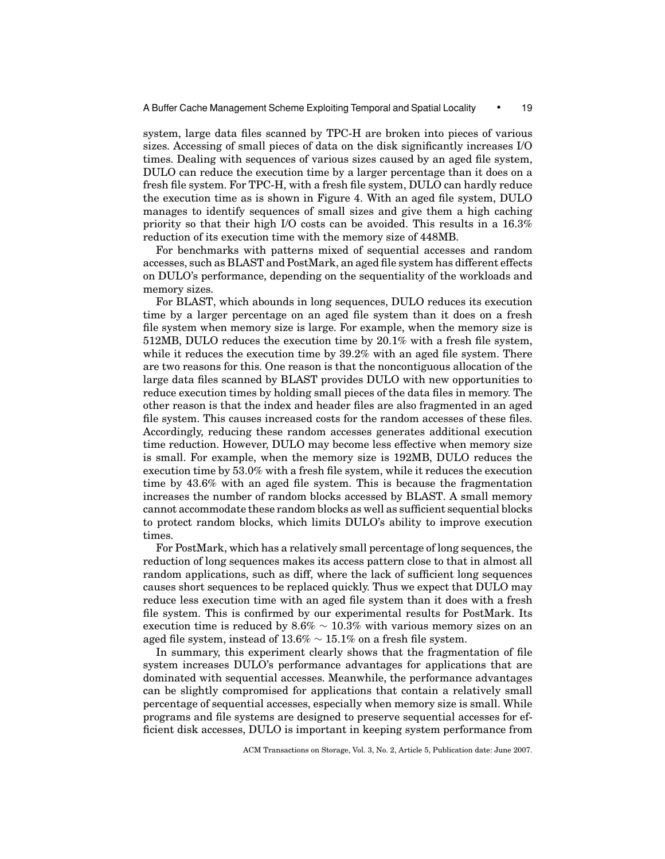system, large data files scanned by TPC-H are broken into pieces of various sizes. Accessing of small pieces of data on the disk significantly increases I/O times. Dealing with sequences of various sizes caused by an aged file system, DULO can reduce the execution time by a larger percentage than it does on a fresh file system. For TPC-H, with a fresh file system, DULO can hardly reduce the execution time as is shown in Figure 4. With an aged file system, DULO manages to identify sequences of small sizes and give them a high caching priority so that their high I/O costs can be avoided. This results in a 16.3% reduction of its execution time with the memory size of 448MB.

For benchmarks with patterns mixed of sequential accesses and random accesses, such as BLAST and PostMark, an aged file system has different effects on DULO's performance, depending on the sequentiality of the workloads and memory sizes.

For BLAST, which abounds in long sequences, DULO reduces its execution time by a larger percentage on an aged file system than it does on a fresh file system when memory size is large. For example, when the memory size is 512MB, DULO reduces the execution time by 20.1% with a fresh file system, while it reduces the execution time by 39.2% with an aged file system. There are two reasons for this. One reason is that the noncontiguous allocation of the large data files scanned by BLAST provides DULO with new opportunities to reduce execution times by holding small pieces of the data files in memory. The other reason is that the index and header files are also fragmented in an aged file system. This causes increased costs for the random accesses of these files. Accordingly, reducing these random accesses generates additional execution time reduction. However, DULO may become less effective when memory size is small. For example, when the memory size is 192MB, DULO reduces the execution time by 53.0% with a fresh file system, while it reduces the execution time by 43.6% with an aged file system. This is because the fragmentation increases the number of random blocks accessed by BLAST. A small memory cannot accommodate these random blocks as well as sufficient sequential blocks to protect random blocks, which limits DULO's ability to improve execution times.

For PostMark, which has a relatively small percentage of long sequences, the reduction of long sequences makes its access pattern close to that in almost all random applications, such as diff, where the lack of sufficient long sequences causes short sequences to be replaced quickly. Thus we expect that DULO may reduce less execution time with an aged file system than it does with a fresh file system. This is confirmed by our experimental results for PostMark. Its execution time is reduced by  $8.6\% \sim 10.3\%$  with various memory sizes on an aged file system, instead of  $13.6\% \sim 15.1\%$  on a fresh file system.

In summary, this experiment clearly shows that the fragmentation of file system increases DULO's performance advantages for applications that are dominated with sequential accesses. Meanwhile, the performance advantages can be slightly compromised for applications that contain a relatively small percentage of sequential accesses, especially when memory size is small. While programs and file systems are designed to preserve sequential accesses for efficient disk accesses, DULO is important in keeping system performance from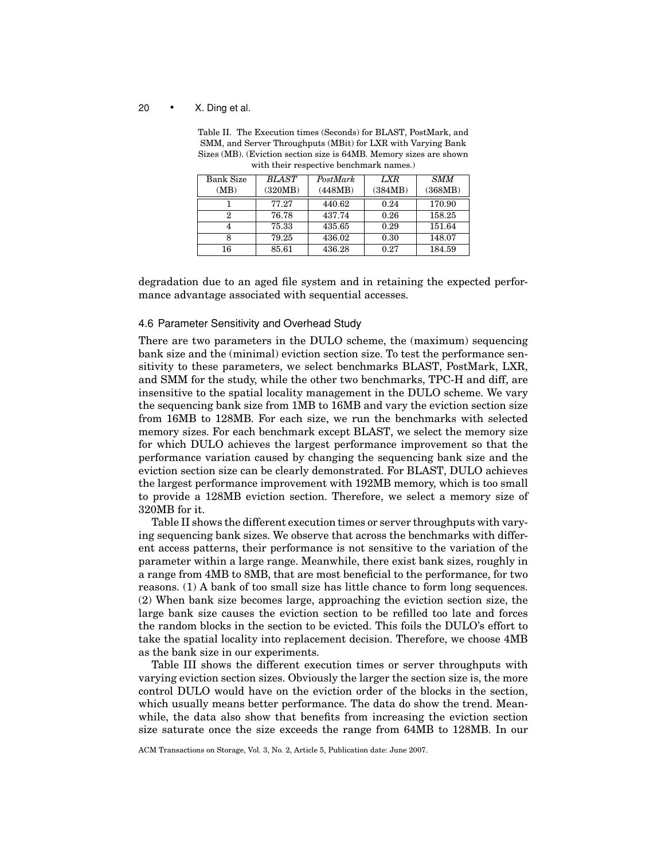| Bank Size | <b>BLAST</b> | PostMark | <b>LXR</b> | <b>SMM</b> |
|-----------|--------------|----------|------------|------------|
| (MB)      | (320MB)      | (448MB)  | (384MB)    | (368MB)    |
|           | 77.27        | 440.62   | 0.24       | 170.90     |
| 2         | 76.78        | 437.74   | 0.26       | 158.25     |
| 4         | 75.33        | 435.65   | 0.29       | 151.64     |
| 8         | 79.25        | 436.02   | 0.30       | 148.07     |
| 16        | 85.61        | 436.28   | 0.27       | 184.59     |

Table II. The Execution times (Seconds) for BLAST, PostMark, and SMM, and Server Throughputs (MBit) for LXR with Varying Bank Sizes (MB). (Eviction section size is 64MB. Memory sizes are shown with their respective benchmark names.)

degradation due to an aged file system and in retaining the expected performance advantage associated with sequential accesses.

# 4.6 Parameter Sensitivity and Overhead Study

There are two parameters in the DULO scheme, the (maximum) sequencing bank size and the (minimal) eviction section size. To test the performance sensitivity to these parameters, we select benchmarks BLAST, PostMark, LXR, and SMM for the study, while the other two benchmarks, TPC-H and diff, are insensitive to the spatial locality management in the DULO scheme. We vary the sequencing bank size from 1MB to 16MB and vary the eviction section size from 16MB to 128MB. For each size, we run the benchmarks with selected memory sizes. For each benchmark except BLAST, we select the memory size for which DULO achieves the largest performance improvement so that the performance variation caused by changing the sequencing bank size and the eviction section size can be clearly demonstrated. For BLAST, DULO achieves the largest performance improvement with 192MB memory, which is too small to provide a 128MB eviction section. Therefore, we select a memory size of 320MB for it.

Table II shows the different execution times or server throughputs with varying sequencing bank sizes. We observe that across the benchmarks with different access patterns, their performance is not sensitive to the variation of the parameter within a large range. Meanwhile, there exist bank sizes, roughly in a range from 4MB to 8MB, that are most beneficial to the performance, for two reasons. (1) A bank of too small size has little chance to form long sequences. (2) When bank size becomes large, approaching the eviction section size, the large bank size causes the eviction section to be refilled too late and forces the random blocks in the section to be evicted. This foils the DULO's effort to take the spatial locality into replacement decision. Therefore, we choose 4MB as the bank size in our experiments.

Table III shows the different execution times or server throughputs with varying eviction section sizes. Obviously the larger the section size is, the more control DULO would have on the eviction order of the blocks in the section, which usually means better performance. The data do show the trend. Meanwhile, the data also show that benefits from increasing the eviction section size saturate once the size exceeds the range from 64MB to 128MB. In our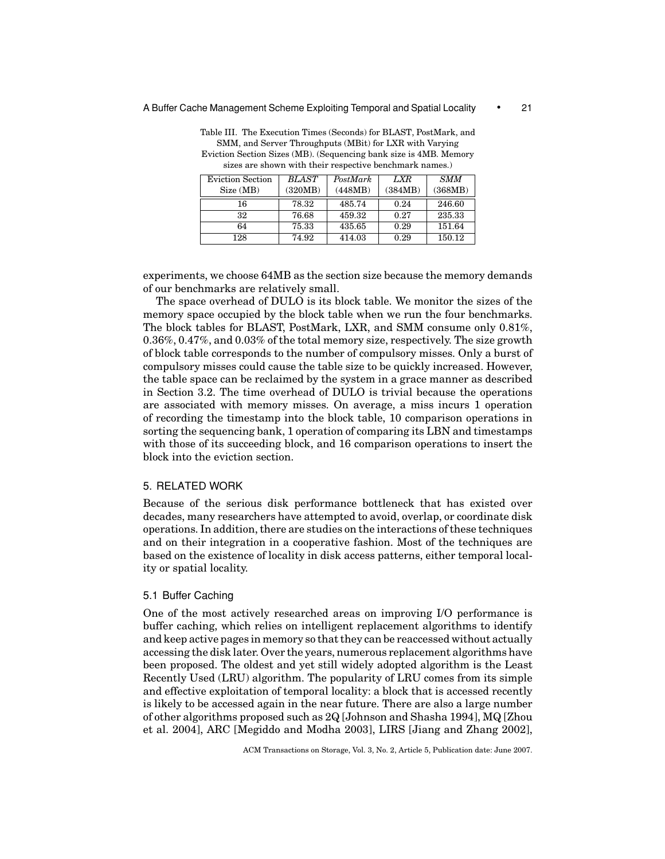| sizes are shown with their respective benchmark names.) |              |          |         |            |  |  |  |  |  |
|---------------------------------------------------------|--------------|----------|---------|------------|--|--|--|--|--|
| Eviction Section                                        | <b>BLAST</b> | PostMark | LXR     | <b>SMM</b> |  |  |  |  |  |
| Size (MB)                                               | (320MB)      | (448MB)  | (384MB) | (368MB)    |  |  |  |  |  |
| 16                                                      | 78.32        | 485.74   | 0.24    | 246.60     |  |  |  |  |  |
| 32                                                      | 76.68        | 459.32   | 0.27    | 235.33     |  |  |  |  |  |
| 64                                                      | 75.33        | 435.65   | 0.29    | 151.64     |  |  |  |  |  |
| 128                                                     | 74.92        | 414.03   | 0.29    | 150.12     |  |  |  |  |  |

Table III. The Execution Times (Seconds) for BLAST, PostMark, and SMM, and Server Throughputs (MBit) for LXR with Varying Eviction Section Sizes (MB). (Sequencing bank size is 4MB. Memory sizes are shown with their respective benchmark names.)

experiments, we choose 64MB as the section size because the memory demands of our benchmarks are relatively small.

The space overhead of DULO is its block table. We monitor the sizes of the memory space occupied by the block table when we run the four benchmarks. The block tables for BLAST, PostMark, LXR, and SMM consume only 0.81%, 0.36%, 0.47%, and 0.03% of the total memory size, respectively. The size growth of block table corresponds to the number of compulsory misses. Only a burst of compulsory misses could cause the table size to be quickly increased. However, the table space can be reclaimed by the system in a grace manner as described in Section 3.2. The time overhead of DULO is trivial because the operations are associated with memory misses. On average, a miss incurs 1 operation of recording the timestamp into the block table, 10 comparison operations in sorting the sequencing bank, 1 operation of comparing its LBN and timestamps with those of its succeeding block, and 16 comparison operations to insert the block into the eviction section.

## 5. RELATED WORK

Because of the serious disk performance bottleneck that has existed over decades, many researchers have attempted to avoid, overlap, or coordinate disk operations. In addition, there are studies on the interactions of these techniques and on their integration in a cooperative fashion. Most of the techniques are based on the existence of locality in disk access patterns, either temporal locality or spatial locality.

# 5.1 Buffer Caching

One of the most actively researched areas on improving I/O performance is buffer caching, which relies on intelligent replacement algorithms to identify and keep active pages in memory so that they can be reaccessed without actually accessing the disk later. Over the years, numerous replacement algorithms have been proposed. The oldest and yet still widely adopted algorithm is the Least Recently Used (LRU) algorithm. The popularity of LRU comes from its simple and effective exploitation of temporal locality: a block that is accessed recently is likely to be accessed again in the near future. There are also a large number of other algorithms proposed such as 2Q [Johnson and Shasha 1994], MQ [Zhou et al. 2004], ARC [Megiddo and Modha 2003], LIRS [Jiang and Zhang 2002],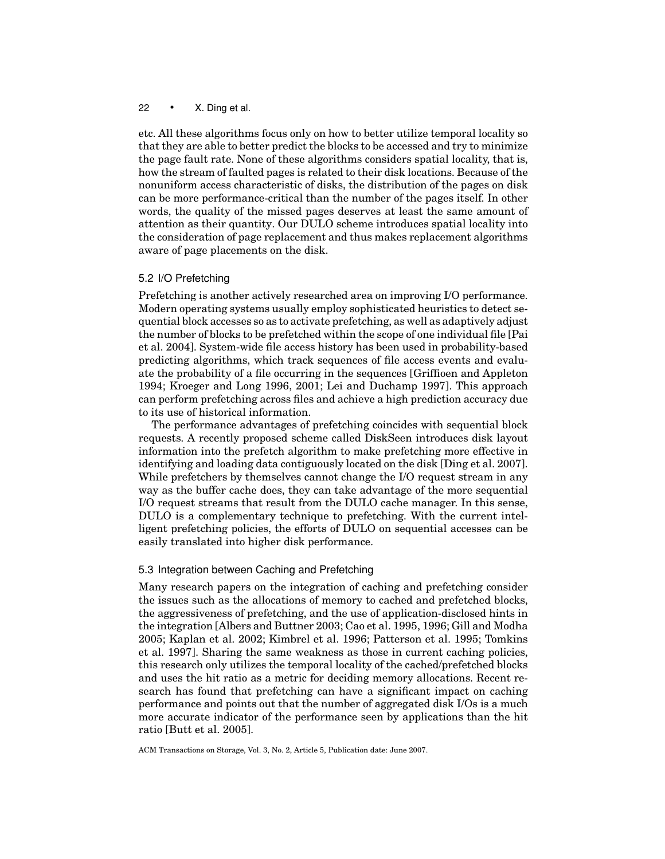etc. All these algorithms focus only on how to better utilize temporal locality so that they are able to better predict the blocks to be accessed and try to minimize the page fault rate. None of these algorithms considers spatial locality, that is, how the stream of faulted pages is related to their disk locations. Because of the nonuniform access characteristic of disks, the distribution of the pages on disk can be more performance-critical than the number of the pages itself. In other words, the quality of the missed pages deserves at least the same amount of attention as their quantity. Our DULO scheme introduces spatial locality into the consideration of page replacement and thus makes replacement algorithms aware of page placements on the disk.

# 5.2 I/O Prefetching

Prefetching is another actively researched area on improving I/O performance. Modern operating systems usually employ sophisticated heuristics to detect sequential block accesses so as to activate prefetching, as well as adaptively adjust the number of blocks to be prefetched within the scope of one individual file [Pai et al. 2004]. System-wide file access history has been used in probability-based predicting algorithms, which track sequences of file access events and evaluate the probability of a file occurring in the sequences [Griffioen and Appleton 1994; Kroeger and Long 1996, 2001; Lei and Duchamp 1997]. This approach can perform prefetching across files and achieve a high prediction accuracy due to its use of historical information.

The performance advantages of prefetching coincides with sequential block requests. A recently proposed scheme called DiskSeen introduces disk layout information into the prefetch algorithm to make prefetching more effective in identifying and loading data contiguously located on the disk [Ding et al. 2007]. While prefetchers by themselves cannot change the I/O request stream in any way as the buffer cache does, they can take advantage of the more sequential I/O request streams that result from the DULO cache manager. In this sense, DULO is a complementary technique to prefetching. With the current intelligent prefetching policies, the efforts of DULO on sequential accesses can be easily translated into higher disk performance.

# 5.3 Integration between Caching and Prefetching

Many research papers on the integration of caching and prefetching consider the issues such as the allocations of memory to cached and prefetched blocks, the aggressiveness of prefetching, and the use of application-disclosed hints in the integration [Albers and Buttner 2003; Cao et al. 1995, 1996; Gill and Modha 2005; Kaplan et al. 2002; Kimbrel et al. 1996; Patterson et al. 1995; Tomkins et al. 1997]. Sharing the same weakness as those in current caching policies, this research only utilizes the temporal locality of the cached/prefetched blocks and uses the hit ratio as a metric for deciding memory allocations. Recent research has found that prefetching can have a significant impact on caching performance and points out that the number of aggregated disk I/Os is a much more accurate indicator of the performance seen by applications than the hit ratio [Butt et al. 2005].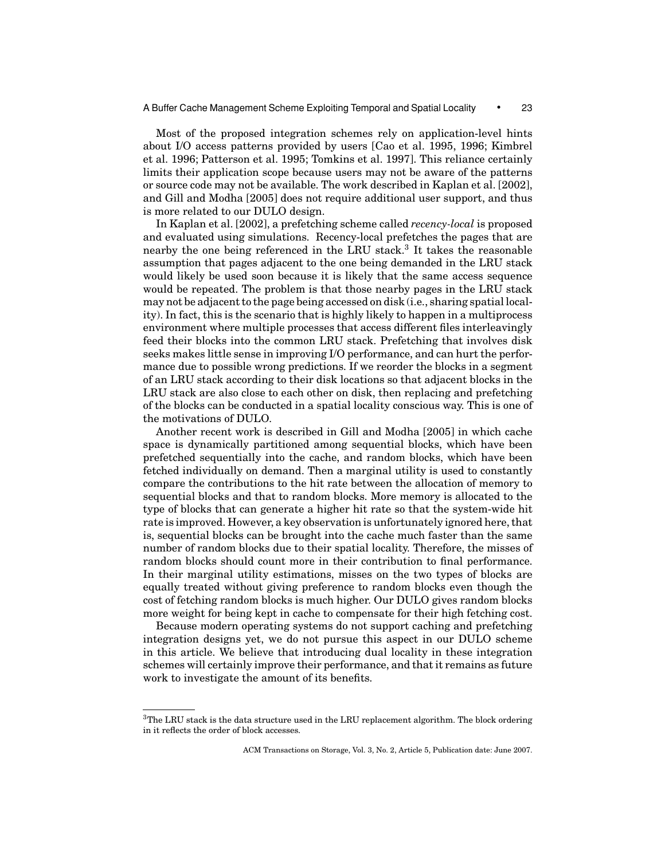Most of the proposed integration schemes rely on application-level hints about I/O access patterns provided by users [Cao et al. 1995, 1996; Kimbrel et al. 1996; Patterson et al. 1995; Tomkins et al. 1997]. This reliance certainly limits their application scope because users may not be aware of the patterns or source code may not be available. The work described in Kaplan et al. [2002], and Gill and Modha [2005] does not require additional user support, and thus is more related to our DULO design.

In Kaplan et al. [2002], a prefetching scheme called *recency-local* is proposed and evaluated using simulations. Recency-local prefetches the pages that are nearby the one being referenced in the LRU stack.<sup>3</sup> It takes the reasonable assumption that pages adjacent to the one being demanded in the LRU stack would likely be used soon because it is likely that the same access sequence would be repeated. The problem is that those nearby pages in the LRU stack may not be adjacent to the page being accessed on disk (i.e., sharing spatial locality). In fact, this is the scenario that is highly likely to happen in a multiprocess environment where multiple processes that access different files interleavingly feed their blocks into the common LRU stack. Prefetching that involves disk seeks makes little sense in improving I/O performance, and can hurt the performance due to possible wrong predictions. If we reorder the blocks in a segment of an LRU stack according to their disk locations so that adjacent blocks in the LRU stack are also close to each other on disk, then replacing and prefetching of the blocks can be conducted in a spatial locality conscious way. This is one of the motivations of DULO.

Another recent work is described in Gill and Modha [2005] in which cache space is dynamically partitioned among sequential blocks, which have been prefetched sequentially into the cache, and random blocks, which have been fetched individually on demand. Then a marginal utility is used to constantly compare the contributions to the hit rate between the allocation of memory to sequential blocks and that to random blocks. More memory is allocated to the type of blocks that can generate a higher hit rate so that the system-wide hit rate is improved. However, a key observation is unfortunately ignored here, that is, sequential blocks can be brought into the cache much faster than the same number of random blocks due to their spatial locality. Therefore, the misses of random blocks should count more in their contribution to final performance. In their marginal utility estimations, misses on the two types of blocks are equally treated without giving preference to random blocks even though the cost of fetching random blocks is much higher. Our DULO gives random blocks more weight for being kept in cache to compensate for their high fetching cost.

Because modern operating systems do not support caching and prefetching integration designs yet, we do not pursue this aspect in our DULO scheme in this article. We believe that introducing dual locality in these integration schemes will certainly improve their performance, and that it remains as future work to investigate the amount of its benefits.

 $3$ The LRU stack is the data structure used in the LRU replacement algorithm. The block ordering in it reflects the order of block accesses.

ACM Transactions on Storage, Vol. 3, No. 2, Article 5, Publication date: June 2007.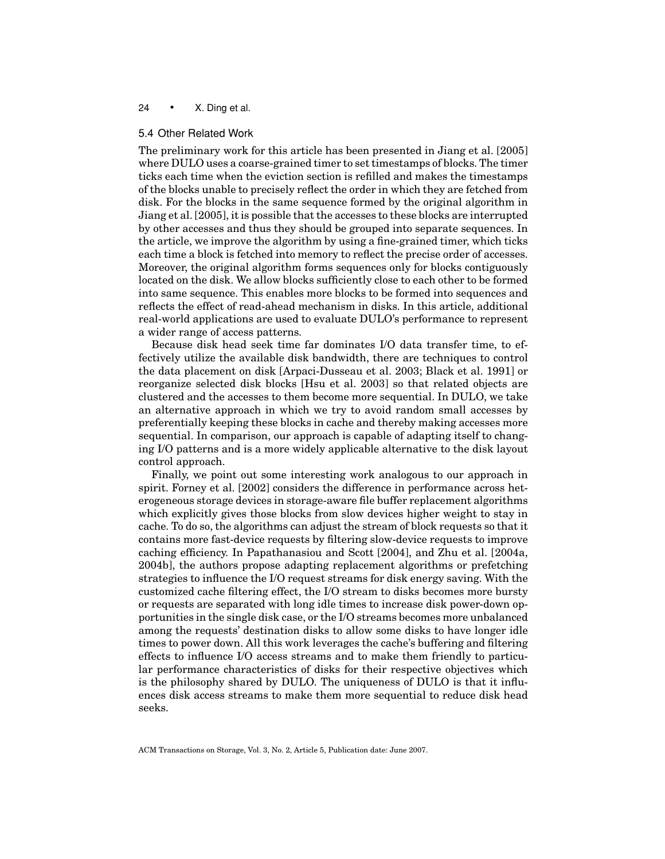#### 5.4 Other Related Work

The preliminary work for this article has been presented in Jiang et al. [2005] where DULO uses a coarse-grained timer to set timestamps of blocks. The timer ticks each time when the eviction section is refilled and makes the timestamps of the blocks unable to precisely reflect the order in which they are fetched from disk. For the blocks in the same sequence formed by the original algorithm in Jiang et al. [2005], it is possible that the accesses to these blocks are interrupted by other accesses and thus they should be grouped into separate sequences. In the article, we improve the algorithm by using a fine-grained timer, which ticks each time a block is fetched into memory to reflect the precise order of accesses. Moreover, the original algorithm forms sequences only for blocks contiguously located on the disk. We allow blocks sufficiently close to each other to be formed into same sequence. This enables more blocks to be formed into sequences and reflects the effect of read-ahead mechanism in disks. In this article, additional real-world applications are used to evaluate DULO's performance to represent a wider range of access patterns.

Because disk head seek time far dominates I/O data transfer time, to effectively utilize the available disk bandwidth, there are techniques to control the data placement on disk [Arpaci-Dusseau et al. 2003; Black et al. 1991] or reorganize selected disk blocks [Hsu et al. 2003] so that related objects are clustered and the accesses to them become more sequential. In DULO, we take an alternative approach in which we try to avoid random small accesses by preferentially keeping these blocks in cache and thereby making accesses more sequential. In comparison, our approach is capable of adapting itself to changing I/O patterns and is a more widely applicable alternative to the disk layout control approach.

Finally, we point out some interesting work analogous to our approach in spirit. Forney et al. [2002] considers the difference in performance across heterogeneous storage devices in storage-aware file buffer replacement algorithms which explicitly gives those blocks from slow devices higher weight to stay in cache. To do so, the algorithms can adjust the stream of block requests so that it contains more fast-device requests by filtering slow-device requests to improve caching efficiency. In Papathanasiou and Scott [2004], and Zhu et al. [2004a, 2004b], the authors propose adapting replacement algorithms or prefetching strategies to influence the I/O request streams for disk energy saving. With the customized cache filtering effect, the I/O stream to disks becomes more bursty or requests are separated with long idle times to increase disk power-down opportunities in the single disk case, or the I/O streams becomes more unbalanced among the requests' destination disks to allow some disks to have longer idle times to power down. All this work leverages the cache's buffering and filtering effects to influence I/O access streams and to make them friendly to particular performance characteristics of disks for their respective objectives which is the philosophy shared by DULO. The uniqueness of DULO is that it influences disk access streams to make them more sequential to reduce disk head seeks.

ACM Transactions on Storage, Vol. 3, No. 2, Article 5, Publication date: June 2007.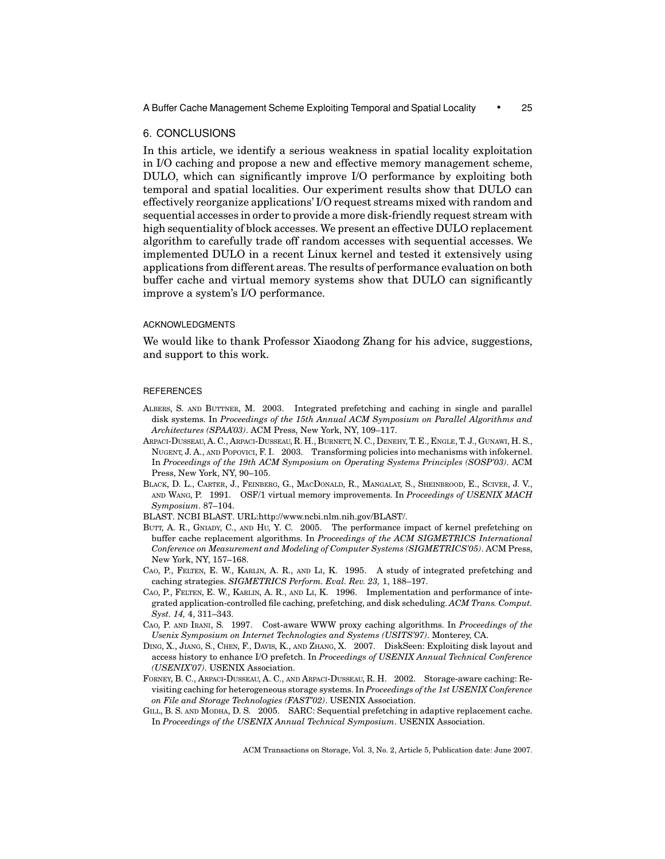A Buffer Cache Management Scheme Exploiting Temporal and Spatial Locality • 25

# 6. CONCLUSIONS

In this article, we identify a serious weakness in spatial locality exploitation in I/O caching and propose a new and effective memory management scheme, DULO, which can significantly improve I/O performance by exploiting both temporal and spatial localities. Our experiment results show that DULO can effectively reorganize applications' I/O request streams mixed with random and sequential accesses in order to provide a more disk-friendly request stream with high sequentiality of block accesses. We present an effective DULO replacement algorithm to carefully trade off random accesses with sequential accesses. We implemented DULO in a recent Linux kernel and tested it extensively using applications from different areas. The results of performance evaluation on both buffer cache and virtual memory systems show that DULO can significantly improve a system's I/O performance.

# ACKNOWLEDGMENTS

We would like to thank Professor Xiaodong Zhang for his advice, suggestions, and support to this work.

#### REFERENCES

- ALBERS, S. AND BUTTNER, M. 2003. Integrated prefetching and caching in single and parallel disk systems. In *Proceedings of the 15th Annual ACM Symposium on Parallel Algorithms and Architectures (SPAA'03)*. ACM Press, New York, NY, 109–117.
- ARPACI-DUSSEAU, A. C., ARPACI-DUSSEAU, R. H., BURNETT, N. C., DENEHY, T. E., ENGLE, T. J., GUNAWI, H. S., NUGENT, J. A., AND POPOVICI, F. I. 2003. Transforming policies into mechanisms with infokernel. In *Proceedings of the 19th ACM Symposium on Operating Systems Principles (SOSP'03)*. ACM Press, New York, NY, 90–105.
- BLACK, D. L., CARTER, J., FEINBERG, G., MACDONALD, R., MANGALAT, S., SHEINBROOD, E., SCIVER, J. V., AND WANG, P. 1991. OSF/1 virtual memory improvements. In *Proceedings of USENIX MACH Symposium*. 87–104.

BLAST. NCBI BLAST. URL:http://www.ncbi.nlm.nih.gov/BLAST/.

- BUTT, A. R., GNIADY, C., AND HU, Y. C. 2005. The performance impact of kernel prefetching on buffer cache replacement algorithms. In *Proceedings of the ACM SIGMETRICS International Conference on Measurement and Modeling of Computer Systems (SIGMETRICS'05)*. ACM Press, New York, NY, 157–168.
- CAO, P., FELTEN, E. W., KARLIN, A. R., AND LI, K. 1995. A study of integrated prefetching and caching strategies. *SIGMETRICS Perform. Eval. Rev. 23,* 1, 188–197.
- CAO, P., FELTEN, E. W., KARLIN, A. R., AND LI, K. 1996. Implementation and performance of integrated application-controlled file caching, prefetching, and disk scheduling. *ACM Trans. Comput. Syst. 14,* 4, 311–343.
- CAO, P. AND IRANI, S. 1997. Cost-aware WWW proxy caching algorithms. In *Proceedings of the Usenix Symposium on Internet Technologies and Systems (USITS'97)*. Monterey, CA.
- DING, X., JIANG, S., CHEN, F., DAVIS, K., AND ZHANG, X. 2007. DiskSeen: Exploiting disk layout and access history to enhance I/O prefetch. In *Proceedings of USENIX Annual Technical Conference (USENIX'07)*. USENIX Association.
- FORNEY, B. C., ARPACI-DUSSEAU, A. C., AND ARPACI-DUSSEAU, R. H. 2002. Storage-aware caching: Revisiting caching for heterogeneous storage systems. In *Proceedings of the 1st USENIX Conference on File and Storage Technologies (FAST'02)*. USENIX Association.
- GILL, B. S. AND MODHA, D. S. 2005. SARC: Sequential prefetching in adaptive replacement cache. In *Proceedings of the USENIX Annual Technical Symposium*. USENIX Association.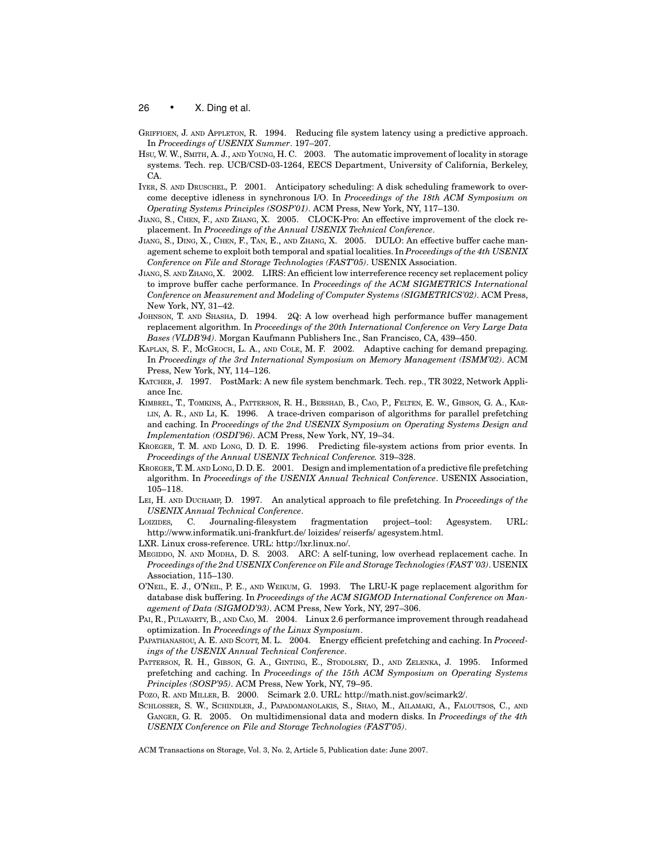- GRIFFIOEN, J. AND APPLETON, R. 1994. Reducing file system latency using a predictive approach. In *Proceedings of USENIX Summer*. 197–207.
- HSU, W. W., SMITH, A. J., AND YOUNG, H. C. 2003. The automatic improvement of locality in storage systems. Tech. rep. UCB/CSD-03-1264, EECS Department, University of California, Berkeley, CA.
- IYER, S. AND DRUSCHEL, P. 2001. Anticipatory scheduling: A disk scheduling framework to overcome deceptive idleness in synchronous I/O. In *Proceedings of the 18th ACM Symposium on Operating Systems Principles (SOSP'01)*. ACM Press, New York, NY, 117–130.
- JIANG, S., CHEN, F., AND ZHANG, X. 2005. CLOCK-Pro: An effective improvement of the clock replacement. In *Proceedings of the Annual USENIX Technical Conference*.
- JIANG, S., DING, X., CHEN, F., TAN, E., AND ZHANG, X. 2005. DULO: An effective buffer cache management scheme to exploit both temporal and spatial localities. In *Proceedings of the 4th USENIX Conference on File and Storage Technologies (FAST'05)*. USENIX Association.
- JIANG, S. AND ZHANG, X. 2002. LIRS: An efficient low interreference recency set replacement policy to improve buffer cache performance. In *Proceedings of the ACM SIGMETRICS International Conference on Measurement and Modeling of Computer Systems (SIGMETRICS'02)*. ACM Press, New York, NY, 31–42.
- JOHNSON, T. AND SHASHA, D. 1994. 2Q: A low overhead high performance buffer management replacement algorithm. In *Proceedings of the 20th International Conference on Very Large Data Bases (VLDB'94)*. Morgan Kaufmann Publishers Inc., San Francisco, CA, 439–450.
- KAPLAN, S. F., MCGEOCH, L. A., AND COLE, M. F. 2002. Adaptive caching for demand prepaging. In *Proceedings of the 3rd International Symposium on Memory Management (ISMM'02)*. ACM Press, New York, NY, 114–126.
- KATCHER, J. 1997. PostMark: A new file system benchmark. Tech. rep., TR 3022, Network Appliance Inc.
- KIMBREL, T., TOMKINS, A., PATTERSON, R. H., BERSHAD, B., CAO, P., FELTEN, E. W., GIBSON, G. A., KAR-LIN, A. R., AND LI, K. 1996. A trace-driven comparison of algorithms for parallel prefetching and caching. In *Proceedings of the 2nd USENIX Symposium on Operating Systems Design and Implementation (OSDI'96)*. ACM Press, New York, NY, 19–34.
- KROEGER, T. M. AND LONG, D. D. E. 1996. Predicting file-system actions from prior events. In *Proceedings of the Annual USENIX Technical Conference.* 319–328.
- KROEGER, T. M. AND LONG, D. D. E. 2001. Design and implementation of a predictive file prefetching algorithm. In *Proceedings of the USENIX Annual Technical Conference*. USENIX Association, 105–118.
- LEI, H. AND DUCHAMP, D. 1997. An analytical approach to file prefetching. In *Proceedings of the USENIX Annual Technical Conference*.
- LOIZIDES, C. Journaling-filesystem fragmentation project–tool: Agesystem. URL: http://www.informatik.uni-frankfurt.de/ loizides/ reiserfs/ agesystem.html.
- LXR. Linux cross-reference. URL: http://lxr.linux.no/.
- MEGIDDO, N. AND MODHA, D. S. 2003. ARC: A self-tuning, low overhead replacement cache. In *Proceedings of the 2nd USENIX Conference on File and Storage Technologies (FAST '03)*. USENIX Association, 115–130.
- O'NEIL, E. J., O'NEIL, P. E., AND WEIKUM, G. 1993. The LRU-K page replacement algorithm for database disk buffering. In *Proceedings of the ACM SIGMOD International Conference on Management of Data (SIGMOD'93)*. ACM Press, New York, NY, 297–306.
- PAI, R., PULAVARTY, B., AND CAO, M. 2004. Linux 2.6 performance improvement through readahead optimization. In *Proceedings of the Linux Symposium*.
- PAPATHANASIOU, A. E. AND SCOTT, M. L. 2004. Energy efficient prefetching and caching. In *Proceedings of the USENIX Annual Technical Conference*.
- PATTERSON, R. H., GIBSON, G. A., GINTING, E., STODOLSKY, D., AND ZELENKA, J. 1995. Informed prefetching and caching. In *Proceedings of the 15th ACM Symposium on Operating Systems Principles (SOSP'95)*. ACM Press, New York, NY, 79–95.

POZO, R. AND MILLER, B. 2000. Scimark 2.0. URL: http://math.nist.gov/scimark2/.

SCHLOSSER, S. W., SCHINDLER, J., PAPADOMANOLAKIS, S., SHAO, M., AILAMAKI, A., FALOUTSOS, C., AND GANGER, G. R. 2005. On multidimensional data and modern disks. In *Proceedings of the 4th USENIX Conference on File and Storage Technologies (FAST'05)*.